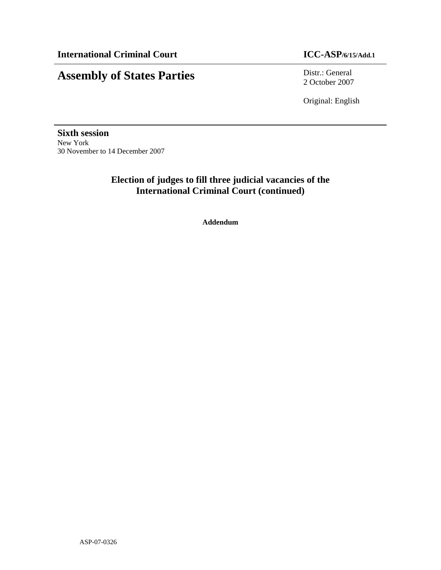# **Assembly of States Parties** Distr.: General

2 October 2007

Original: English

**Sixth session**  New York 30 November to 14 December 2007

### **Election of judges to fill three judicial vacancies of the International Criminal Court (continued)**

**Addendum**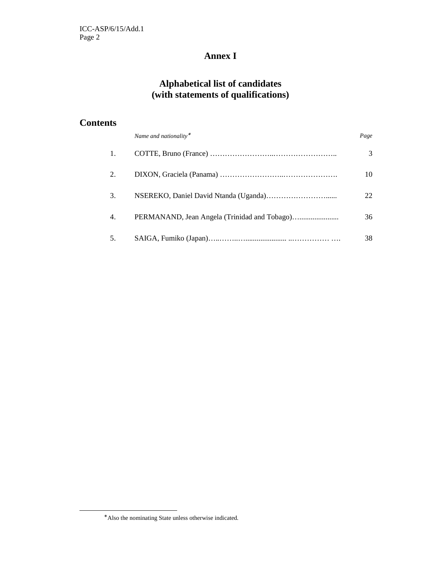### **Annex I**

## **Alphabetical list of candidates (with statements of qualifications)**

### **Contents**

|    | Name and nationality* | Page |
|----|-----------------------|------|
| 1. |                       | 3    |
| 2. |                       | 10   |
| 3. |                       | 22   |
| 4. |                       | 36   |
| 5. |                       | 38   |

-

<sup>∗</sup> Also the nominating State unless otherwise indicated.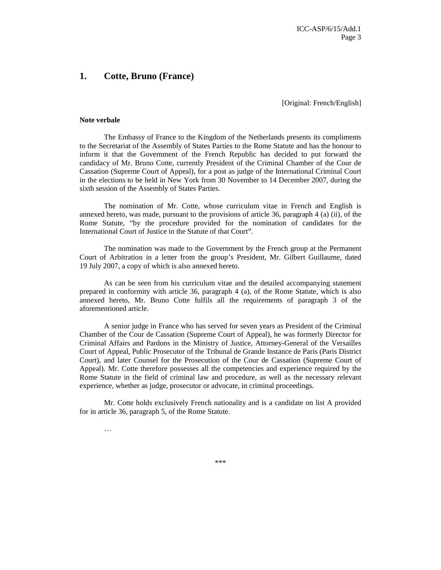### **1. Cotte, Bruno (France)**

[Original: French/English]

#### **Note verbale**

The Embassy of France to the Kingdom of the Netherlands presents its compliments to the Secretariat of the Assembly of States Parties to the Rome Statute and has the honour to inform it that the Government of the French Republic has decided to put forward the candidacy of Mr. Bruno Cotte, currently President of the Criminal Chamber of the Cour de Cassation (Supreme Court of Appeal), for a post as judge of the International Criminal Court in the elections to be held in New York from 30 November to 14 December 2007, during the sixth session of the Assembly of States Parties.

The nomination of Mr. Cotte, whose curriculum vitae in French and English is annexed hereto, was made, pursuant to the provisions of article 36, paragraph 4 (a) (ii), of the Rome Statute, "by the procedure provided for the nomination of candidates for the International Court of Justice in the Statute of that Court".

The nomination was made to the Government by the French group at the Permanent Court of Arbitration in a letter from the group's President, Mr. Gilbert Guillaume, dated 19 July 2007, a copy of which is also annexed hereto.

As can be seen from his curriculum vitae and the detailed accompanying statement prepared in conformity with article 36, paragraph 4 (a), of the Rome Statute, which is also annexed hereto, Mr. Bruno Cotte fulfils all the requirements of paragraph 3 of the aforementioned article.

A senior judge in France who has served for seven years as President of the Criminal Chamber of the Cour de Cassation (Supreme Court of Appeal), he was formerly Director for Criminal Affairs and Pardons in the Ministry of Justice, Attorney-General of the Versailles Court of Appeal, Public Prosecutor of the Tribunal de Grande Instance de Paris (Paris District Court), and later Counsel for the Prosecution of the Cour de Cassation (Supreme Court of Appeal). Mr. Cotte therefore possesses all the competencies and experience required by the Rome Statute in the field of criminal law and procedure, as well as the necessary relevant experience, whether as judge, prosecutor or advocate, in criminal proceedings.

Mr. Cotte holds exclusively French nationality and is a candidate on list A provided for in article 36, paragraph 5, of the Rome Statute.

…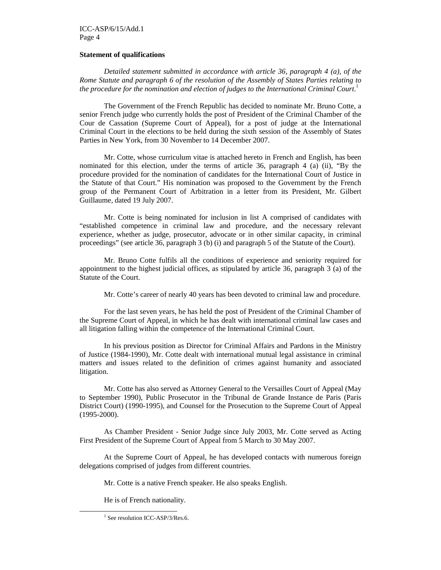#### ICC-ASP/6/15/Add.1 Page 4

#### **Statement of qualifications**

*Detailed statement submitted in accordance with article 36, paragraph 4 (a), of the Rome Statute and paragraph 6 of the resolution of the Assembly of States Parties relating to the procedure for the nomination and election of judges to the International Criminal Court*. 1

 The Government of the French Republic has decided to nominate Mr. Bruno Cotte, a senior French judge who currently holds the post of President of the Criminal Chamber of the Cour de Cassation (Supreme Court of Appeal), for a post of judge at the International Criminal Court in the elections to be held during the sixth session of the Assembly of States Parties in New York, from 30 November to 14 December 2007.

Mr. Cotte, whose curriculum vitae is attached hereto in French and English, has been nominated for this election, under the terms of article 36, paragraph 4 (a) (ii), "By the procedure provided for the nomination of candidates for the International Court of Justice in the Statute of that Court." His nomination was proposed to the Government by the French group of the Permanent Court of Arbitration in a letter from its President, Mr. Gilbert Guillaume, dated 19 July 2007.

Mr. Cotte is being nominated for inclusion in list A comprised of candidates with "established competence in criminal law and procedure, and the necessary relevant experience, whether as judge, prosecutor, advocate or in other similar capacity, in criminal proceedings" (see article 36, paragraph 3 (b) (i) and paragraph 5 of the Statute of the Court).

Mr. Bruno Cotte fulfils all the conditions of experience and seniority required for appointment to the highest judicial offices, as stipulated by article 36, paragraph 3 (a) of the Statute of the Court.

Mr. Cotte's career of nearly 40 years has been devoted to criminal law and procedure.

For the last seven years, he has held the post of President of the Criminal Chamber of the Supreme Court of Appeal, in which he has dealt with international criminal law cases and all litigation falling within the competence of the International Criminal Court.

In his previous position as Director for Criminal Affairs and Pardons in the Ministry of Justice (1984-1990), Mr. Cotte dealt with international mutual legal assistance in criminal matters and issues related to the definition of crimes against humanity and associated litigation.

Mr. Cotte has also served as Attorney General to the Versailles Court of Appeal (May to September 1990), Public Prosecutor in the Tribunal de Grande Instance de Paris (Paris District Court) (1990-1995), and Counsel for the Prosecution to the Supreme Court of Appeal (1995-2000).

As Chamber President - Senior Judge since July 2003, Mr. Cotte served as Acting First President of the Supreme Court of Appeal from 5 March to 30 May 2007.

At the Supreme Court of Appeal, he has developed contacts with numerous foreign delegations comprised of judges from different countries.

Mr. Cotte is a native French speaker. He also speaks English.

He is of French nationality.

-

<sup>&</sup>lt;sup>1</sup> See resolution ICC-ASP/3/Res.6.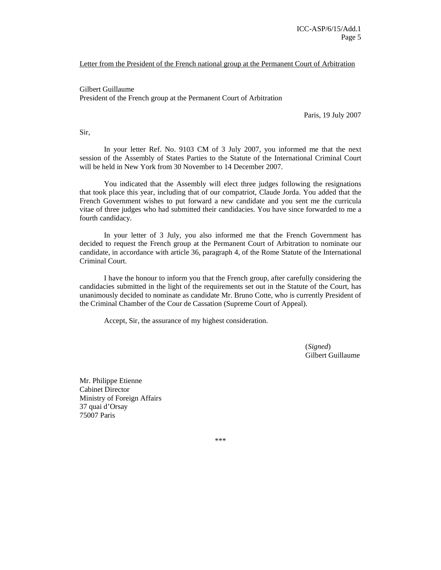#### Letter from the President of the French national group at the Permanent Court of Arbitration

Gilbert Guillaume President of the French group at the Permanent Court of Arbitration

Paris, 19 July 2007

Sir,

In your letter Ref. No. 9103 CM of 3 July 2007, you informed me that the next session of the Assembly of States Parties to the Statute of the International Criminal Court will be held in New York from 30 November to 14 December 2007.

You indicated that the Assembly will elect three judges following the resignations that took place this year, including that of our compatriot, Claude Jorda. You added that the French Government wishes to put forward a new candidate and you sent me the curricula vitae of three judges who had submitted their candidacies. You have since forwarded to me a fourth candidacy.

In your letter of 3 July, you also informed me that the French Government has decided to request the French group at the Permanent Court of Arbitration to nominate our candidate, in accordance with article 36, paragraph 4, of the Rome Statute of the International Criminal Court.

I have the honour to inform you that the French group, after carefully considering the candidacies submitted in the light of the requirements set out in the Statute of the Court, has unanimously decided to nominate as candidate Mr. Bruno Cotte, who is currently President of the Criminal Chamber of the Cour de Cassation (Supreme Court of Appeal).

Accept, Sir, the assurance of my highest consideration.

(*Signed*) Gilbert Guillaume

Mr. Philippe Etienne Cabinet Director Ministry of Foreign Affairs 37 quai d'Orsay 75007 Paris

\*\*\*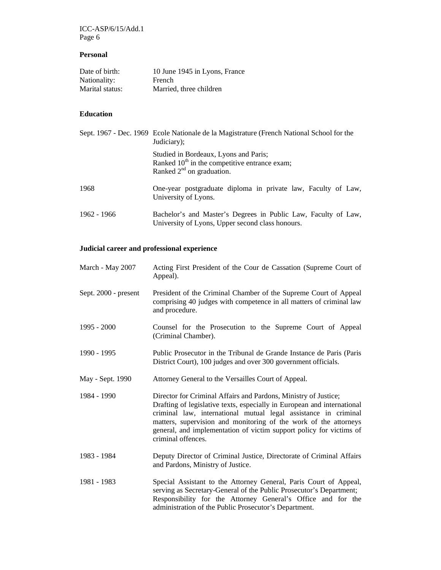ICC-ASP/6/15/Add.1 Page 6

### **Personal**

| Date of birth:  | 10 June 1945 in Lyons, France |
|-----------------|-------------------------------|
| Nationality:    | French                        |
| Marital status: | Married, three children       |

### **Education**

|             | Sept. 1967 - Dec. 1969 Ecole Nationale de la Magistrature (French National School for the<br>Judiciary);                   |
|-------------|----------------------------------------------------------------------------------------------------------------------------|
|             | Studied in Bordeaux, Lyons and Paris;<br>Ranked $10th$ in the competitive entrance exam;<br>Ranked $2^{nd}$ on graduation. |
| 1968        | One-year postgraduate diploma in private law, Faculty of Law,<br>University of Lyons.                                      |
| 1962 - 1966 | Bachelor's and Master's Degrees in Public Law, Faculty of Law,<br>University of Lyons, Upper second class honours.         |

### **Judicial career and professional experience**

| March - May 2007     | Acting First President of the Cour de Cassation (Supreme Court of<br>Appeal).                                                                                                                                                                                                                                                                                                  |
|----------------------|--------------------------------------------------------------------------------------------------------------------------------------------------------------------------------------------------------------------------------------------------------------------------------------------------------------------------------------------------------------------------------|
| Sept. 2000 - present | President of the Criminal Chamber of the Supreme Court of Appeal<br>comprising 40 judges with competence in all matters of criminal law<br>and procedure.                                                                                                                                                                                                                      |
| $1995 - 2000$        | Counsel for the Prosecution to the Supreme Court of Appeal<br>(Criminal Chamber).                                                                                                                                                                                                                                                                                              |
| 1990 - 1995          | Public Prosecutor in the Tribunal de Grande Instance de Paris (Paris<br>District Court), 100 judges and over 300 government officials.                                                                                                                                                                                                                                         |
| May - Sept. 1990     | Attorney General to the Versailles Court of Appeal.                                                                                                                                                                                                                                                                                                                            |
| 1984 - 1990          | Director for Criminal Affairs and Pardons, Ministry of Justice;<br>Drafting of legislative texts, especially in European and international<br>criminal law, international mutual legal assistance in criminal<br>matters, supervision and monitoring of the work of the attorneys<br>general, and implementation of victim support policy for victims of<br>criminal offences. |
| 1983 - 1984          | Deputy Director of Criminal Justice, Directorate of Criminal Affairs<br>and Pardons, Ministry of Justice.                                                                                                                                                                                                                                                                      |
| 1981 - 1983          | Special Assistant to the Attorney General, Paris Court of Appeal,<br>serving as Secretary-General of the Public Prosecutor's Department;<br>Responsibility for the Attorney General's Office and for the<br>administration of the Public Prosecutor's Department.                                                                                                              |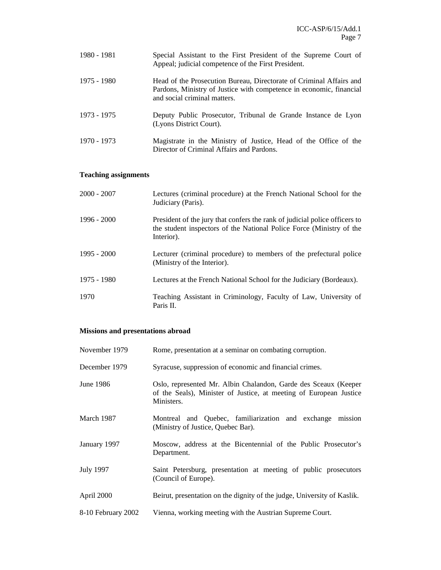| 1980 - 1981 | Special Assistant to the First President of the Supreme Court of<br>Appeal; judicial competence of the First President.                                                    |
|-------------|----------------------------------------------------------------------------------------------------------------------------------------------------------------------------|
| 1975 - 1980 | Head of the Prosecution Bureau, Directorate of Criminal Affairs and<br>Pardons, Ministry of Justice with competence in economic, financial<br>and social criminal matters. |
| 1973 - 1975 | Deputy Public Prosecutor, Tribunal de Grande Instance de Lyon<br>(Lyons District Court).                                                                                   |
| 1970 - 1973 | Magistrate in the Ministry of Justice, Head of the Office of the<br>Director of Criminal Affairs and Pardons.                                                              |

### **Teaching assignments**

| $2000 - 2007$ | Lectures (criminal procedure) at the French National School for the<br>Judiciary (Paris).                                                                        |
|---------------|------------------------------------------------------------------------------------------------------------------------------------------------------------------|
| $1996 - 2000$ | President of the jury that confers the rank of judicial police officers to<br>the student inspectors of the National Police Force (Ministry of the<br>Interior). |
| $1995 - 2000$ | Lecturer (criminal procedure) to members of the prefectural police<br>(Ministry of the Interior).                                                                |
| 1975 - 1980   | Lectures at the French National School for the Judiciary (Bordeaux).                                                                                             |
| 1970          | Teaching Assistant in Criminology, Faculty of Law, University of<br>Paris II.                                                                                    |

### **Missions and presentations abroad**

| November 1979      | Rome, presentation at a seminar on combating corruption.                                                                                            |
|--------------------|-----------------------------------------------------------------------------------------------------------------------------------------------------|
| December 1979      | Syracuse, suppression of economic and financial crimes.                                                                                             |
| June 1986          | Oslo, represented Mr. Albin Chalandon, Garde des Sceaux (Keeper<br>of the Seals), Minister of Justice, at meeting of European Justice<br>Ministers. |
| March 1987         | Montreal and Quebec, familiarization and exchange mission<br>(Ministry of Justice, Quebec Bar).                                                     |
| January 1997       | Moscow, address at the Bicentennial of the Public Prosecutor's<br>Department.                                                                       |
| <b>July 1997</b>   | Saint Petersburg, presentation at meeting of public prosecutors<br>(Council of Europe).                                                             |
| April 2000         | Beirut, presentation on the dignity of the judge, University of Kaslik.                                                                             |
| 8-10 February 2002 | Vienna, working meeting with the Austrian Supreme Court.                                                                                            |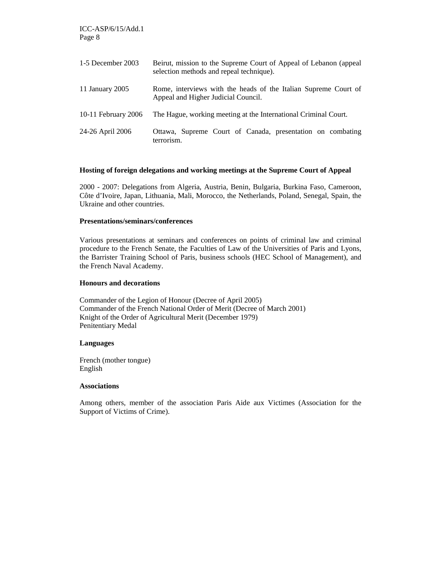| 1-5 December 2003   | Beirut, mission to the Supreme Court of Appeal of Lebanon (appeal<br>selection methods and repeal technique). |
|---------------------|---------------------------------------------------------------------------------------------------------------|
| 11 January 2005     | Rome, interviews with the heads of the Italian Supreme Court of<br>Appeal and Higher Judicial Council.        |
| 10-11 February 2006 | The Hague, working meeting at the International Criminal Court.                                               |
| 24-26 April 2006    | Ottawa, Supreme Court of Canada, presentation on combating<br>terrorism.                                      |

#### **Hosting of foreign delegations and working meetings at the Supreme Court of Appeal**

2000 - 2007: Delegations from Algeria, Austria, Benin, Bulgaria, Burkina Faso, Cameroon, Côte d'Ivoire, Japan, Lithuania, Mali, Morocco, the Netherlands, Poland, Senegal, Spain, the Ukraine and other countries.

#### **Presentations/seminars/conferences**

Various presentations at seminars and conferences on points of criminal law and criminal procedure to the French Senate, the Faculties of Law of the Universities of Paris and Lyons, the Barrister Training School of Paris, business schools (HEC School of Management), and the French Naval Academy.

#### **Honours and decorations**

Commander of the Legion of Honour (Decree of April 2005) Commander of the French National Order of Merit (Decree of March 2001) Knight of the Order of Agricultural Merit (December 1979) Penitentiary Medal

#### **Languages**

French (mother tongue) English

#### **Associations**

Among others, member of the association Paris Aide aux Victimes (Association for the Support of Victims of Crime).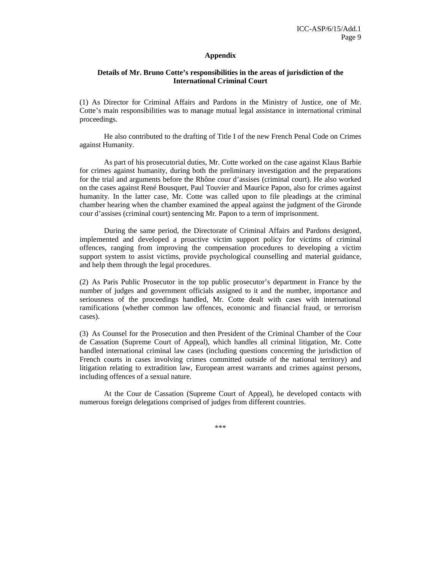#### **Appendix**

#### **Details of Mr. Bruno Cotte's responsibilities in the areas of jurisdiction of the International Criminal Court**

(1) As Director for Criminal Affairs and Pardons in the Ministry of Justice, one of Mr. Cotte's main responsibilities was to manage mutual legal assistance in international criminal proceedings.

He also contributed to the drafting of Title I of the new French Penal Code on Crimes against Humanity.

As part of his prosecutorial duties, Mr. Cotte worked on the case against Klaus Barbie for crimes against humanity, during both the preliminary investigation and the preparations for the trial and arguments before the Rhône cour d'assises (criminal court). He also worked on the cases against René Bousquet, Paul Touvier and Maurice Papon, also for crimes against humanity. In the latter case, Mr. Cotte was called upon to file pleadings at the criminal chamber hearing when the chamber examined the appeal against the judgment of the Gironde cour d'assises (criminal court) sentencing Mr. Papon to a term of imprisonment.

During the same period, the Directorate of Criminal Affairs and Pardons designed, implemented and developed a proactive victim support policy for victims of criminal offences, ranging from improving the compensation procedures to developing a victim support system to assist victims, provide psychological counselling and material guidance, and help them through the legal procedures.

(2) As Paris Public Prosecutor in the top public prosecutor's department in France by the number of judges and government officials assigned to it and the number, importance and seriousness of the proceedings handled, Mr. Cotte dealt with cases with international ramifications (whether common law offences, economic and financial fraud, or terrorism cases).

(3) As Counsel for the Prosecution and then President of the Criminal Chamber of the Cour de Cassation (Supreme Court of Appeal), which handles all criminal litigation, Mr. Cotte handled international criminal law cases (including questions concerning the jurisdiction of French courts in cases involving crimes committed outside of the national territory) and litigation relating to extradition law, European arrest warrants and crimes against persons, including offences of a sexual nature.

At the Cour de Cassation (Supreme Court of Appeal), he developed contacts with numerous foreign delegations comprised of judges from different countries.

\*\*\*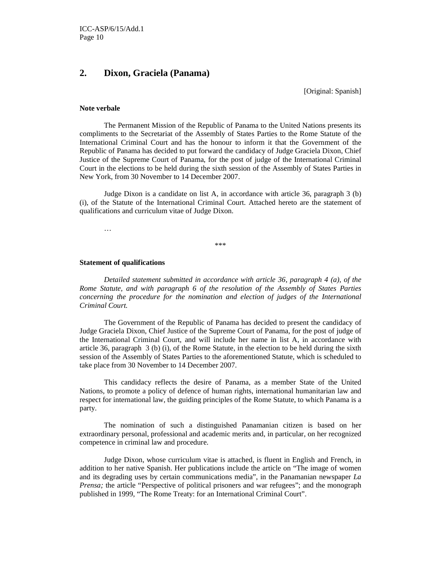### **2. Dixon, Graciela (Panama)**

[Original: Spanish]

#### **Note verbale**

 The Permanent Mission of the Republic of Panama to the United Nations presents its compliments to the Secretariat of the Assembly of States Parties to the Rome Statute of the International Criminal Court and has the honour to inform it that the Government of the Republic of Panama has decided to put forward the candidacy of Judge Graciela Dixon, Chief Justice of the Supreme Court of Panama, for the post of judge of the International Criminal Court in the elections to be held during the sixth session of the Assembly of States Parties in New York, from 30 November to 14 December 2007.

 Judge Dixon is a candidate on list A, in accordance with article 36, paragraph 3 (b) (i), of the Statute of the International Criminal Court. Attached hereto are the statement of qualifications and curriculum vitae of Judge Dixon.

…

\*\*\*

#### **Statement of qualifications**

*Detailed statement submitted in accordance with article 36, paragraph 4 (a), of the Rome Statute, and with paragraph 6 of the resolution of the Assembly of States Parties concerning the procedure for the nomination and election of judges of the International Criminal Court.* 

The Government of the Republic of Panama has decided to present the candidacy of Judge Graciela Dixon, Chief Justice of the Supreme Court of Panama, for the post of judge of the International Criminal Court, and will include her name in list A, in accordance with article 36, paragraph 3 (b) (i), of the Rome Statute, in the election to be held during the sixth session of the Assembly of States Parties to the aforementioned Statute, which is scheduled to take place from 30 November to 14 December 2007.

This candidacy reflects the desire of Panama, as a member State of the United Nations, to promote a policy of defence of human rights, international humanitarian law and respect for international law, the guiding principles of the Rome Statute, to which Panama is a party.

The nomination of such a distinguished Panamanian citizen is based on her extraordinary personal, professional and academic merits and, in particular, on her recognized competence in criminal law and procedure.

Judge Dixon, whose curriculum vitae is attached, is fluent in English and French, in addition to her native Spanish. Her publications include the article on "The image of women and its degrading uses by certain communications media", in the Panamanian newspaper *La Prensa*; the article "Perspective of political prisoners and war refugees"; and the monograph published in 1999, "The Rome Treaty: for an International Criminal Court".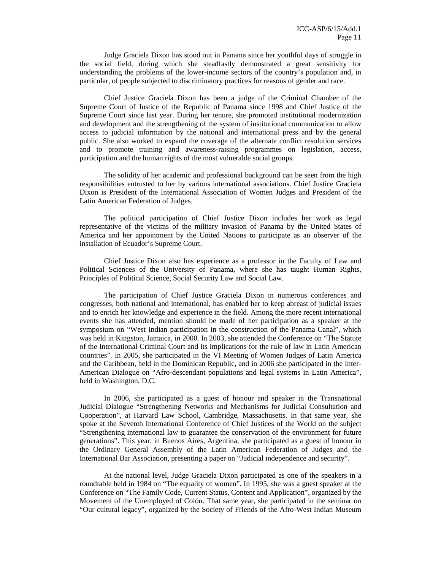Judge Graciela Dixon has stood out in Panama since her youthful days of struggle in the social field, during which she steadfastly demonstrated a great sensitivity for understanding the problems of the lower-income sectors of the country's population and, in particular, of people subjected to discriminatory practices for reasons of gender and race.

Chief Justice Graciela Dixon has been a judge of the Criminal Chamber of the Supreme Court of Justice of the Republic of Panama since 1998 and Chief Justice of the Supreme Court since last year. During her tenure, she promoted institutional modernization and development and the strengthening of the system of institutional communication to allow access to judicial information by the national and international press and by the general public. She also worked to expand the coverage of the alternate conflict resolution services and to promote training and awareness-raising programmes on legislation, access, participation and the human rights of the most vulnerable social groups.

The solidity of her academic and professional background can be seen from the high responsibilities entrusted to her by various international associations. Chief Justice Graciela Dixon is President of the International Association of Women Judges and President of the Latin American Federation of Judges.

The political participation of Chief Justice Dixon includes her work as legal representative of the victims of the military invasion of Panama by the United States of America and her appointment by the United Nations to participate as an observer of the installation of Ecuador's Supreme Court.

Chief Justice Dixon also has experience as a professor in the Faculty of Law and Political Sciences of the University of Panama, where she has taught Human Rights, Principles of Political Science, Social Security Law and Social Law.

The participation of Chief Justice Graciela Dixon in numerous conferences and congresses, both national and international, has enabled her to keep abreast of judicial issues and to enrich her knowledge and experience in the field. Among the more recent international events she has attended, mention should be made of her participation as a speaker at the symposium on "West Indian participation in the construction of the Panama Canal", which was held in Kingston, Jamaica, in 2000. In 2003, she attended the Conference on "The Statute of the International Criminal Court and its implications for the rule of law in Latin American countries". In 2005, she participated in the VI Meeting of Women Judges of Latin America and the Caribbean, held in the Dominican Republic, and in 2006 she participated in the Inter-American Dialogue on "Afro-descendant populations and legal systems in Latin America", held in Washington, D.C.

In 2006, she participated as a guest of honour and speaker in the Transnational Judicial Dialogue "Strengthening Networks and Mechanisms for Judicial Consultation and Cooperation", at Harvard Law School, Cambridge, Massachusetts. In that same year, she spoke at the Seventh International Conference of Chief Justices of the World on the subject "Strengthening international law to guarantee the conservation of the environment for future generations". This year, in Buenos Aires, Argentina, she participated as a guest of honour in the Ordinary General Assembly of the Latin American Federation of Judges and the International Bar Association, presenting a paper on "Judicial independence and security".

At the national level, Judge Graciela Dixon participated as one of the speakers in a roundtable held in 1984 on "The equality of women". In 1995, she was a guest speaker at the Conference on "The Family Code, Current Status, Content and Application", organized by the Movement of the Unemployed of Colón. That same year, she participated in the seminar on "Our cultural legacy", organized by the Society of Friends of the Afro-West Indian Museum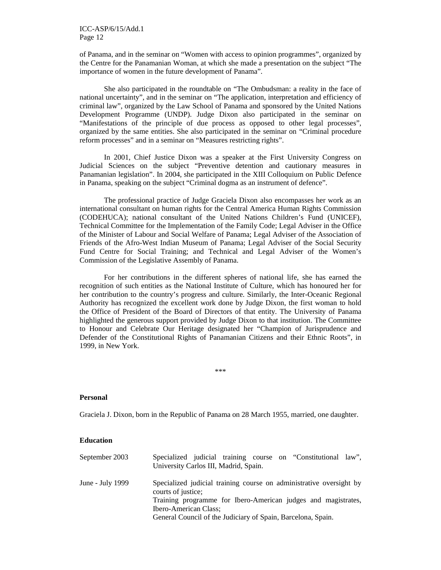of Panama, and in the seminar on "Women with access to opinion programmes", organized by the Centre for the Panamanian Woman, at which she made a presentation on the subject "The importance of women in the future development of Panama".

She also participated in the roundtable on "The Ombudsman: a reality in the face of national uncertainty", and in the seminar on "The application, interpretation and efficiency of criminal law", organized by the Law School of Panama and sponsored by the United Nations Development Programme (UNDP). Judge Dixon also participated in the seminar on "Manifestations of the principle of due process as opposed to other legal processes", organized by the same entities. She also participated in the seminar on "Criminal procedure reform processes" and in a seminar on "Measures restricting rights".

In 2001, Chief Justice Dixon was a speaker at the First University Congress on Judicial Sciences on the subject "Preventive detention and cautionary measures in Panamanian legislation". In 2004, she participated in the XIII Colloquium on Public Defence in Panama, speaking on the subject "Criminal dogma as an instrument of defence".

The professional practice of Judge Graciela Dixon also encompasses her work as an international consultant on human rights for the Central America Human Rights Commission (CODEHUCA); national consultant of the United Nations Children's Fund (UNICEF), Technical Committee for the Implementation of the Family Code; Legal Adviser in the Office of the Minister of Labour and Social Welfare of Panama; Legal Adviser of the Association of Friends of the Afro-West Indian Museum of Panama; Legal Adviser of the Social Security Fund Centre for Social Training; and Technical and Legal Adviser of the Women's Commission of the Legislative Assembly of Panama.

For her contributions in the different spheres of national life, she has earned the recognition of such entities as the National Institute of Culture, which has honoured her for her contribution to the country's progress and culture. Similarly, the Inter-Oceanic Regional Authority has recognized the excellent work done by Judge Dixon, the first woman to hold the Office of President of the Board of Directors of that entity. The University of Panama highlighted the generous support provided by Judge Dixon to that institution. The Committee to Honour and Celebrate Our Heritage designated her "Champion of Jurisprudence and Defender of the Constitutional Rights of Panamanian Citizens and their Ethnic Roots", in 1999, in New York.

\*\*\*

#### **Personal**

Graciela J. Dixon, born in the Republic of Panama on 28 March 1955, married, one daughter.

#### **Education**

| September 2003     | Specialized judicial training course on "Constitutional law",<br>University Carlos III, Madrid, Spain.                                                                                     |
|--------------------|--------------------------------------------------------------------------------------------------------------------------------------------------------------------------------------------|
| June - July $1999$ | Specialized judicial training course on administrative oversight by<br>courts of justice;<br>Training programme for Ibero-American judges and magistrates,<br><b>Ibero-American Class;</b> |
|                    | General Council of the Judiciary of Spain, Barcelona, Spain.                                                                                                                               |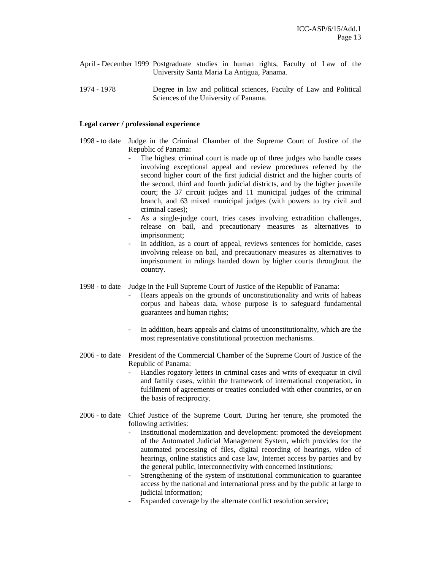- April December 1999 Postgraduate studies in human rights, Faculty of Law of the University Santa Maria La Antigua, Panama.
- 1974 1978 Degree in law and political sciences, Faculty of Law and Political Sciences of the University of Panama.

#### **Legal career / professional experience**

- 1998 to date Judge in the Criminal Chamber of the Supreme Court of Justice of the Republic of Panama:
	- The highest criminal court is made up of three judges who handle cases involving exceptional appeal and review procedures referred by the second higher court of the first judicial district and the higher courts of the second, third and fourth judicial districts, and by the higher juvenile court; the 37 circuit judges and 11 municipal judges of the criminal branch, and 63 mixed municipal judges (with powers to try civil and criminal cases);
	- As a single-judge court, tries cases involving extradition challenges, release on bail, and precautionary measures as alternatives to imprisonment;
	- In addition, as a court of appeal, reviews sentences for homicide, cases involving release on bail, and precautionary measures as alternatives to imprisonment in rulings handed down by higher courts throughout the country.
- 1998 to date Judge in the Full Supreme Court of Justice of the Republic of Panama:
	- Hears appeals on the grounds of unconstitutionality and writs of habeas corpus and habeas data, whose purpose is to safeguard fundamental guarantees and human rights;
	- In addition, hears appeals and claims of unconstitutionality, which are the most representative constitutional protection mechanisms.
- 2006 to date President of the Commercial Chamber of the Supreme Court of Justice of the Republic of Panama:
	- Handles rogatory letters in criminal cases and writs of exequatur in civil and family cases, within the framework of international cooperation, in fulfilment of agreements or treaties concluded with other countries, or on the basis of reciprocity.
- 2006 to date Chief Justice of the Supreme Court. During her tenure, she promoted the following activities:
	- Institutional modernization and development: promoted the development of the Automated Judicial Management System, which provides for the automated processing of files, digital recording of hearings, video of hearings, online statistics and case law, Internet access by parties and by the general public, interconnectivity with concerned institutions;
	- Strengthening of the system of institutional communication to guarantee access by the national and international press and by the public at large to judicial information:
	- Expanded coverage by the alternate conflict resolution service;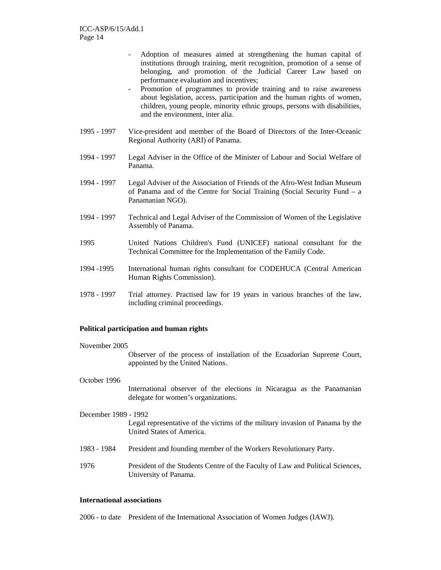- Adoption of measures aimed at strengthening the human capital of institutions through training, merit recognition, promotion of a sense of belonging, and promotion of the Judicial Career Law based on performance evaluation and incentives;
- Promotion of programmes to provide training and to raise awareness about legislation, access, participation and the human rights of women, children, young people, minority ethnic groups, persons with disabilities, and the environment, inter alia.
- 1995 1997 Vice-president and member of the Board of Directors of the Inter-Oceanic Regional Authority (ARI) of Panama.
- 1994 1997 Legal Adviser in the Office of the Minister of Labour and Social Welfare of Panama.
- 1994 1997 Legal Adviser of the Association of Friends of the Afro-West Indian Museum of Panama and of the Centre for Social Training (Social Security Fund – a Panamanian NGO).
- 1994 1997 Technical and Legal Adviser of the Commission of Women of the Legislative Assembly of Panama.
- 1995 United Nations Children's Fund (UNICEF) national consultant for the Technical Committee for the Implementation of the Family Code.
- 1994 -1995 International human rights consultant for CODEHUCA (Central American Human Rights Commission).
- 1978 1997 Trial attorney. Practised law for 19 years in various branches of the law, including criminal proceedings.

#### **Political participation and human rights**

#### November 2005

Observer of the process of installation of the Ecuadorian Supreme Court, appointed by the United Nations.

October 1996

International observer of the elections in Nicaragua as the Panamanian delegate for women's organizations.

- December 1989 1992 Legal representative of the victims of the military invasion of Panama by the United States of America.
- 1983 1984 President and founding member of the Workers Revolutionary Party.
- 1976 President of the Students Centre of the Faculty of Law and Political Sciences, University of Panama.

#### **International associations**

2006 - to date President of the International Association of Women Judges (IAWJ).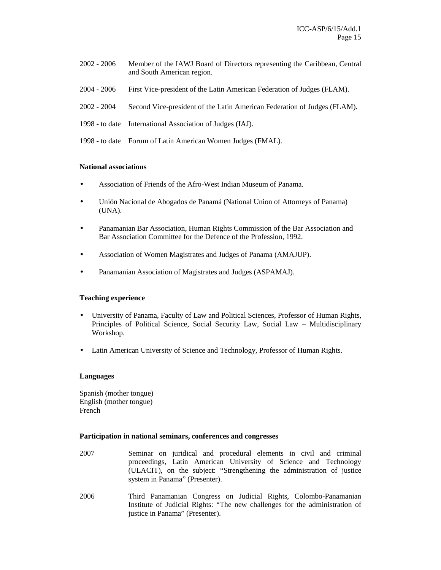- 2002 2006 Member of the IAWJ Board of Directors representing the Caribbean, Central and South American region.
- 2004 2006 First Vice-president of the Latin American Federation of Judges (FLAM).
- 2002 2004 Second Vice-president of the Latin American Federation of Judges (FLAM).
- 1998 to date International Association of Judges (IAJ).
- 1998 to date Forum of Latin American Women Judges (FMAL).

#### **National associations**

- Association of Friends of the Afro-West Indian Museum of Panama.
- Unión Nacional de Abogados de Panamá (National Union of Attorneys of Panama) (UNA).
- Panamanian Bar Association, Human Rights Commission of the Bar Association and Bar Association Committee for the Defence of the Profession, 1992.
- Association of Women Magistrates and Judges of Panama (AMAJUP).
- Panamanian Association of Magistrates and Judges (ASPAMAJ).

#### **Teaching experience**

- University of Panama, Faculty of Law and Political Sciences, Professor of Human Rights, Principles of Political Science, Social Security Law, Social Law – Multidisciplinary Workshop.
- Latin American University of Science and Technology, Professor of Human Rights.

#### **Languages**

Spanish (mother tongue) English (mother tongue) French

#### **Participation in national seminars, conferences and congresses**

- 2007 Seminar on juridical and procedural elements in civil and criminal proceedings, Latin American University of Science and Technology (ULACIT), on the subject: "Strengthening the administration of justice system in Panama" (Presenter).
- 2006 Third Panamanian Congress on Judicial Rights, Colombo-Panamanian Institute of Judicial Rights: "The new challenges for the administration of justice in Panama" (Presenter).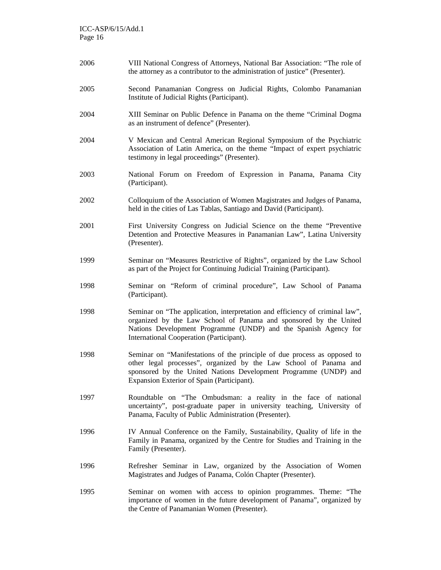| 2006 | VIII National Congress of Attorneys, National Bar Association: "The role of<br>the attorney as a contributor to the administration of justice" (Presenter).                                                                                                      |
|------|------------------------------------------------------------------------------------------------------------------------------------------------------------------------------------------------------------------------------------------------------------------|
| 2005 | Second Panamanian Congress on Judicial Rights, Colombo Panamanian<br>Institute of Judicial Rights (Participant).                                                                                                                                                 |
| 2004 | XIII Seminar on Public Defence in Panama on the theme "Criminal Dogma<br>as an instrument of defence" (Presenter).                                                                                                                                               |
| 2004 | V Mexican and Central American Regional Symposium of the Psychiatric<br>Association of Latin America, on the theme "Impact of expert psychiatric<br>testimony in legal proceedings" (Presenter).                                                                 |
| 2003 | National Forum on Freedom of Expression in Panama, Panama City<br>(Participant).                                                                                                                                                                                 |
| 2002 | Colloquium of the Association of Women Magistrates and Judges of Panama,<br>held in the cities of Las Tablas, Santiago and David (Participant).                                                                                                                  |
| 2001 | First University Congress on Judicial Science on the theme "Preventive<br>Detention and Protective Measures in Panamanian Law", Latina University<br>(Presenter).                                                                                                |
| 1999 | Seminar on "Measures Restrictive of Rights", organized by the Law School<br>as part of the Project for Continuing Judicial Training (Participant).                                                                                                               |
| 1998 | Seminar on "Reform of criminal procedure", Law School of Panama<br>(Participant).                                                                                                                                                                                |
| 1998 | Seminar on "The application, interpretation and efficiency of criminal law",<br>organized by the Law School of Panama and sponsored by the United<br>Nations Development Programme (UNDP) and the Spanish Agency for<br>International Cooperation (Participant). |
| 1998 | Seminar on "Manifestations of the principle of due process as opposed to<br>other legal processes", organized by the Law School of Panama and<br>sponsored by the United Nations Development Programme (UNDP) and<br>Expansion Exterior of Spain (Participant).  |
| 1997 | Roundtable on "The Ombudsman: a reality in the face of national<br>uncertainty", post-graduate paper in university teaching, University of<br>Panama, Faculty of Public Administration (Presenter).                                                              |
| 1996 | IV Annual Conference on the Family, Sustainability, Quality of life in the<br>Family in Panama, organized by the Centre for Studies and Training in the<br>Family (Presenter).                                                                                   |
| 1996 | Refresher Seminar in Law, organized by the Association of Women<br>Magistrates and Judges of Panama, Colón Chapter (Presenter).                                                                                                                                  |
| 1995 | Seminar on women with access to opinion programmes. Theme: "The<br>importance of women in the future development of Panama", organized by<br>the Centre of Panamanian Women (Presenter).                                                                         |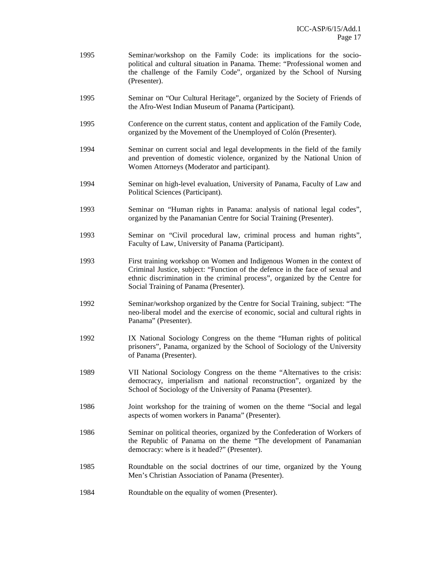- 1995 Seminar/workshop on the Family Code: its implications for the sociopolitical and cultural situation in Panama. Theme: "Professional women and the challenge of the Family Code", organized by the School of Nursing (Presenter).
- 1995 Seminar on "Our Cultural Heritage", organized by the Society of Friends of the Afro-West Indian Museum of Panama (Participant).
- 1995 Conference on the current status, content and application of the Family Code, organized by the Movement of the Unemployed of Colón (Presenter).
- 1994 Seminar on current social and legal developments in the field of the family and prevention of domestic violence, organized by the National Union of Women Attorneys (Moderator and participant).
- 1994 Seminar on high-level evaluation, University of Panama, Faculty of Law and Political Sciences (Participant).
- 1993 Seminar on "Human rights in Panama: analysis of national legal codes", organized by the Panamanian Centre for Social Training (Presenter).
- 1993 Seminar on "Civil procedural law, criminal process and human rights", Faculty of Law, University of Panama (Participant).
- 1993 First training workshop on Women and Indigenous Women in the context of Criminal Justice, subject: "Function of the defence in the face of sexual and ethnic discrimination in the criminal process", organized by the Centre for Social Training of Panama (Presenter).
- 1992 Seminar/workshop organized by the Centre for Social Training, subject: "The neo-liberal model and the exercise of economic, social and cultural rights in Panama" (Presenter).
- 1992 IX National Sociology Congress on the theme "Human rights of political prisoners", Panama, organized by the School of Sociology of the University of Panama (Presenter).
- 1989 VII National Sociology Congress on the theme "Alternatives to the crisis: democracy, imperialism and national reconstruction", organized by the School of Sociology of the University of Panama (Presenter).
- 1986 Joint workshop for the training of women on the theme "Social and legal aspects of women workers in Panama" (Presenter).
- 1986 Seminar on political theories, organized by the Confederation of Workers of the Republic of Panama on the theme "The development of Panamanian democracy: where is it headed?" (Presenter).
- 1985 Roundtable on the social doctrines of our time, organized by the Young Men's Christian Association of Panama (Presenter).
- 1984 Roundtable on the equality of women (Presenter).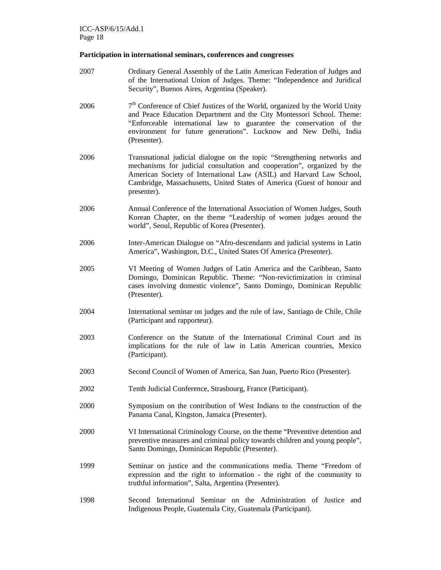#### **Participation in international seminars, conferences and congresses**

- 2007 Ordinary General Assembly of the Latin American Federation of Judges and of the International Union of Judges. Theme: "Independence and Juridical Security", Buenos Aires, Argentina (Speaker).
- 2006  $7<sup>th</sup>$  Conference of Chief Justices of the World, organized by the World Unity and Peace Education Department and the City Montessori School. Theme: "Enforceable international law to guarantee the conservation of the environment for future generations". Lucknow and New Delhi, India (Presenter).
- 2006 Transnational judicial dialogue on the topic "Strengthening networks and mechanisms for judicial consultation and cooperation", organized by the American Society of International Law (ASIL) and Harvard Law School, Cambridge, Massachusetts, United States of America (Guest of honour and presenter).
- 2006 Annual Conference of the International Association of Women Judges, South Korean Chapter, on the theme "Leadership of women judges around the world", Seoul, Republic of Korea (Presenter).
- 2006 Inter-American Dialogue on "Afro-descendants and judicial systems in Latin America", Washington, D.C., United States Of America (Presenter).
- 2005 VI Meeting of Women Judges of Latin America and the Caribbean, Santo Domingo, Dominican Republic. Theme: "Non-revictimization in criminal cases involving domestic violence", Santo Domingo, Dominican Republic (Presenter).
- 2004 International seminar on judges and the rule of law, Santiago de Chile, Chile (Participant and rapporteur).
- 2003 Conference on the Statute of the International Criminal Court and its implications for the rule of law in Latin American countries, Mexico (Participant).
- 2003 Second Council of Women of America, San Juan, Puerto Rico (Presenter).
- 2002 Tenth Judicial Conference, Strasbourg, France (Participant).
- 2000 Symposium on the contribution of West Indians to the construction of the Panama Canal, Kingston, Jamaica (Presenter).
- 2000 VI International Criminology Course, on the theme "Preventive detention and preventive measures and criminal policy towards children and young people", Santo Domingo, Dominican Republic (Presenter).
- 1999 Seminar on justice and the communications media. Theme "Freedom of expression and the right to information - the right of the community to truthful information", Salta, Argentina (Presenter).
- 1998 Second International Seminar on the Administration of Justice and Indigenous People, Guatemala City, Guatemala (Participant).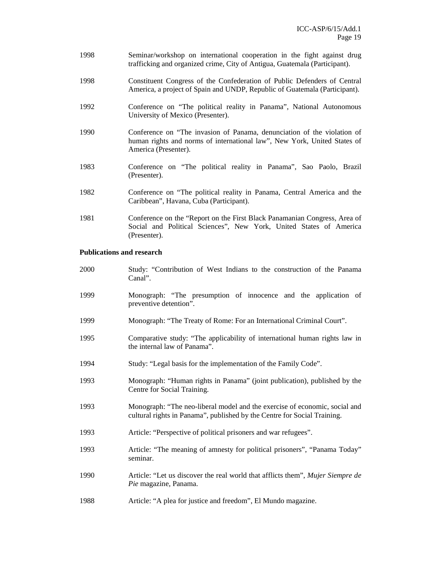- 1998 Seminar/workshop on international cooperation in the fight against drug trafficking and organized crime, City of Antigua, Guatemala (Participant).
- 1998 Constituent Congress of the Confederation of Public Defenders of Central America, a project of Spain and UNDP, Republic of Guatemala (Participant).
- 1992 Conference on "The political reality in Panama", National Autonomous University of Mexico (Presenter).
- 1990 Conference on "The invasion of Panama, denunciation of the violation of human rights and norms of international law", New York, United States of America (Presenter).
- 1983 Conference on "The political reality in Panama", Sao Paolo, Brazil (Presenter).
- 1982 Conference on "The political reality in Panama, Central America and the Caribbean", Havana, Cuba (Participant).
- 1981 Conference on the "Report on the First Black Panamanian Congress, Area of Social and Political Sciences", New York, United States of America (Presenter).

#### **Publications and research**

2000 Study: "Contribution of West Indians to the construction of the Panama Canal". 1999 Monograph: "The presumption of innocence and the application of preventive detention". 1999 Monograph: "The Treaty of Rome: For an International Criminal Court". 1995 Comparative study: "The applicability of international human rights law in the internal law of Panama". 1994 Study: "Legal basis for the implementation of the Family Code". 1993 Monograph: "Human rights in Panama" (joint publication), published by the Centre for Social Training. 1993 Monograph: "The neo-liberal model and the exercise of economic, social and cultural rights in Panama", published by the Centre for Social Training. 1993 Article: "Perspective of political prisoners and war refugees". 1993 Article: "The meaning of amnesty for political prisoners", "Panama Today" seminar. 1990 Article: "Let us discover the real world that afflicts them", *Mujer Siempre de Pie* magazine, Panama. 1988 Article: "A plea for justice and freedom", El Mundo magazine.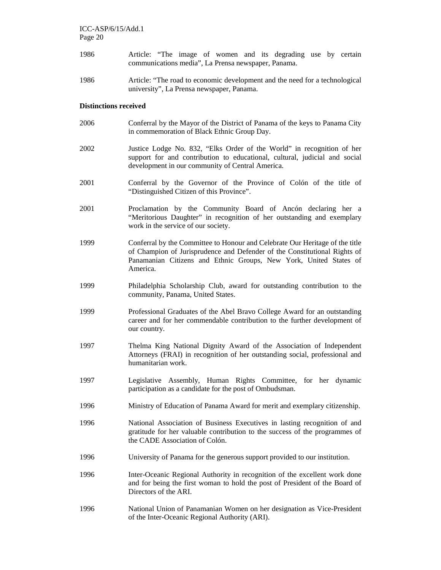- 1986 Article: "The image of women and its degrading use by certain communications media", La Prensa newspaper, Panama.
- 1986 Article: "The road to economic development and the need for a technological university", La Prensa newspaper, Panama.

#### **Distinctions received**

- 2006 Conferral by the Mayor of the District of Panama of the keys to Panama City in commemoration of Black Ethnic Group Day.
- 2002 Justice Lodge No. 832, "Elks Order of the World" in recognition of her support for and contribution to educational, cultural, judicial and social development in our community of Central America.
- 2001 Conferral by the Governor of the Province of Colón of the title of "Distinguished Citizen of this Province".
- 2001 Proclamation by the Community Board of Ancón declaring her a "Meritorious Daughter" in recognition of her outstanding and exemplary work in the service of our society.
- 1999 Conferral by the Committee to Honour and Celebrate Our Heritage of the title of Champion of Jurisprudence and Defender of the Constitutional Rights of Panamanian Citizens and Ethnic Groups, New York, United States of America.
- 1999 Philadelphia Scholarship Club, award for outstanding contribution to the community, Panama, United States.
- 1999 Professional Graduates of the Abel Bravo College Award for an outstanding career and for her commendable contribution to the further development of our country.
- 1997 Thelma King National Dignity Award of the Association of Independent Attorneys (FRAI) in recognition of her outstanding social, professional and humanitarian work.
- 1997 Legislative Assembly, Human Rights Committee, for her dynamic participation as a candidate for the post of Ombudsman.
- 1996 Ministry of Education of Panama Award for merit and exemplary citizenship.
- 1996 National Association of Business Executives in lasting recognition of and gratitude for her valuable contribution to the success of the programmes of the CADE Association of Colón.
- 1996 University of Panama for the generous support provided to our institution.
- 1996 Inter-Oceanic Regional Authority in recognition of the excellent work done and for being the first woman to hold the post of President of the Board of Directors of the ARI.
- 1996 National Union of Panamanian Women on her designation as Vice-President of the Inter-Oceanic Regional Authority (ARI).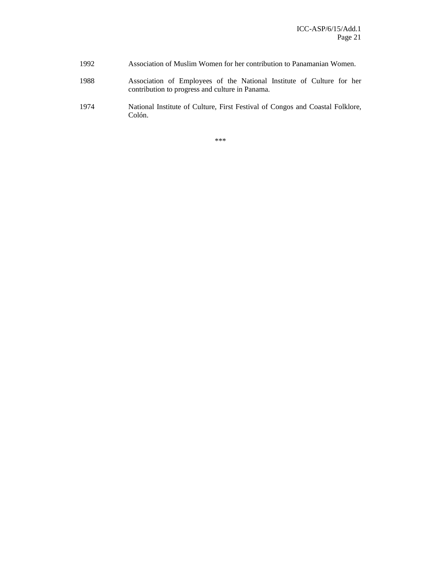- 1992 Association of Muslim Women for her contribution to Panamanian Women.
- 1988 Association of Employees of the National Institute of Culture for her contribution to progress and culture in Panama.
- 1974 National Institute of Culture, First Festival of Congos and Coastal Folklore, Colón.

\*\*\*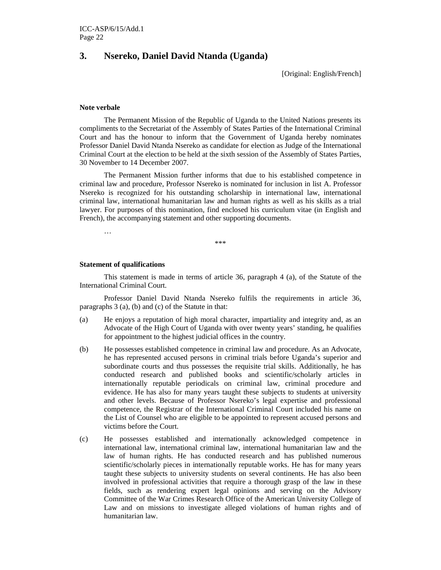### **3. Nsereko, Daniel David Ntanda (Uganda)**

[Original: English/French]

#### **Note verbale**

The Permanent Mission of the Republic of Uganda to the United Nations presents its compliments to the Secretariat of the Assembly of States Parties of the International Criminal Court and has the honour to inform that the Government of Uganda hereby nominates Professor Daniel David Ntanda Nsereko as candidate for election as Judge of the International Criminal Court at the election to be held at the sixth session of the Assembly of States Parties, 30 November to 14 December 2007.

The Permanent Mission further informs that due to his established competence in criminal law and procedure, Professor Nsereko is nominated for inclusion in list A. Professor Nsereko is recognized for his outstanding scholarship in international law, international criminal law, international humanitarian law and human rights as well as his skills as a trial lawyer. For purposes of this nomination, find enclosed his curriculum vitae (in English and French), the accompanying statement and other supporting documents.

…

\*\*\*

#### **Statement of qualifications**

This statement is made in terms of article 36, paragraph 4 (a), of the Statute of the International Criminal Court.

Professor Daniel David Ntanda Nsereko fulfils the requirements in article 36, paragraphs 3 (a), (b) and (c) of the Statute in that:

- (a) He enjoys a reputation of high moral character, impartiality and integrity and, as an Advocate of the High Court of Uganda with over twenty years' standing, he qualifies for appointment to the highest judicial offices in the country.
- (b) He possesses established competence in criminal law and procedure. As an Advocate, he has represented accused persons in criminal trials before Uganda's superior and subordinate courts and thus possesses the requisite trial skills. Additionally, he has conducted research and published books and scientific/scholarly articles in internationally reputable periodicals on criminal law, criminal procedure and evidence. He has also for many years taught these subjects to students at university and other levels. Because of Professor Nsereko's legal expertise and professional competence, the Registrar of the International Criminal Court included his name on the List of Counsel who are eligible to be appointed to represent accused persons and victims before the Court.
- (c) He possesses established and internationally acknowledged competence in international law, international criminal law, international humanitarian law and the law of human rights. He has conducted research and has published numerous scientific/scholarly pieces in internationally reputable works. He has for many years taught these subjects to university students on several continents. He has also been involved in professional activities that require a thorough grasp of the law in these fields, such as rendering expert legal opinions and serving on the Advisory Committee of the War Crimes Research Office of the American University College of Law and on missions to investigate alleged violations of human rights and of humanitarian law.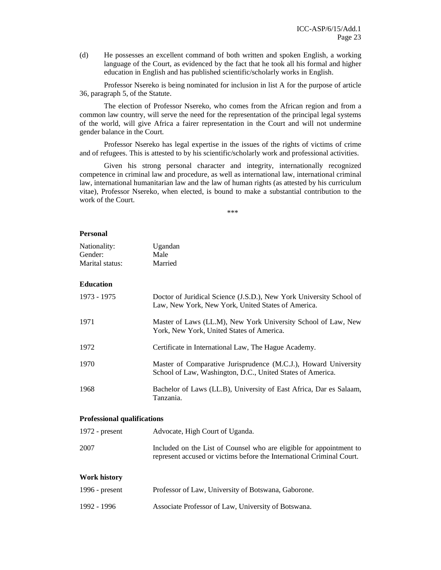(d) He possesses an excellent command of both written and spoken English, a working language of the Court, as evidenced by the fact that he took all his formal and higher education in English and has published scientific/scholarly works in English.

Professor Nsereko is being nominated for inclusion in list A for the purpose of article 36, paragraph 5, of the Statute.

The election of Professor Nsereko, who comes from the African region and from a common law country, will serve the need for the representation of the principal legal systems of the world, will give Africa a fairer representation in the Court and will not undermine gender balance in the Court.

Professor Nsereko has legal expertise in the issues of the rights of victims of crime and of refugees. This is attested to by his scientific/scholarly work and professional activities.

Given his strong personal character and integrity, internationally recognized competence in criminal law and procedure, as well as international law, international criminal law, international humanitarian law and the law of human rights (as attested by his curriculum vitae), Professor Nsereko, when elected, is bound to make a substantial contribution to the work of the Court.

\*\*\*

#### **Personal**

| Nationality:                       | Ugandan                                                                                                                                      |
|------------------------------------|----------------------------------------------------------------------------------------------------------------------------------------------|
| Gender:                            | Male                                                                                                                                         |
| Marital status:                    | Married                                                                                                                                      |
|                                    |                                                                                                                                              |
| <b>Education</b>                   |                                                                                                                                              |
| 1973 - 1975                        | Doctor of Juridical Science (J.S.D.), New York University School of<br>Law, New York, New York, United States of America.                    |
| 1971                               | Master of Laws (LL.M), New York University School of Law, New<br>York, New York, United States of America.                                   |
| 1972                               | Certificate in International Law, The Hague Academy.                                                                                         |
| 1970                               | Master of Comparative Jurisprudence (M.C.J.), Howard University<br>School of Law, Washington, D.C., United States of America.                |
| 1968                               | Bachelor of Laws (LL.B), University of East Africa, Dar es Salaam,<br>Tanzania.                                                              |
| <b>Professional qualifications</b> |                                                                                                                                              |
| 1972 - $present$                   | Advocate, High Court of Uganda.                                                                                                              |
| 2007                               | Included on the List of Counsel who are eligible for appointment to<br>represent accused or victims before the International Criminal Court. |
| <b>Work history</b>                |                                                                                                                                              |
| 1996 - present                     | Professor of Law, University of Botswana, Gaborone.                                                                                          |
| 1992 - 1996                        | Associate Professor of Law, University of Botswana.                                                                                          |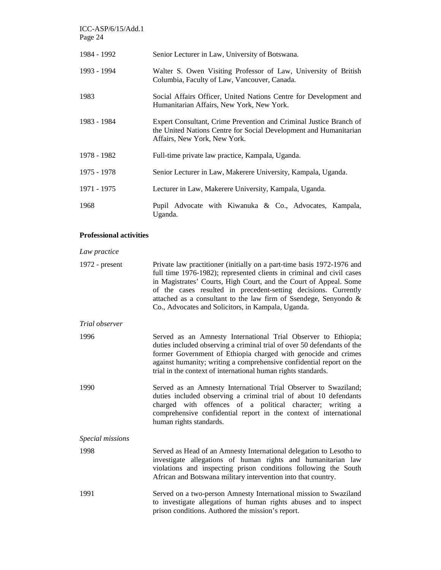| ICC-ASP/6/15/Add.1<br>Page 24  |                                                                                                                                                                         |
|--------------------------------|-------------------------------------------------------------------------------------------------------------------------------------------------------------------------|
| 1984 - 1992                    | Senior Lecturer in Law, University of Botswana.                                                                                                                         |
| 1993 - 1994                    | Walter S. Owen Visiting Professor of Law, University of British<br>Columbia, Faculty of Law, Vancouver, Canada.                                                         |
| 1983                           | Social Affairs Officer, United Nations Centre for Development and<br>Humanitarian Affairs, New York, New York.                                                          |
| 1983 - 1984                    | Expert Consultant, Crime Prevention and Criminal Justice Branch of<br>the United Nations Centre for Social Development and Humanitarian<br>Affairs, New York, New York. |
| 1978 - 1982                    | Full-time private law practice, Kampala, Uganda.                                                                                                                        |
| 1975 - 1978                    | Senior Lecturer in Law, Makerere University, Kampala, Uganda.                                                                                                           |
| 1971 - 1975                    | Lecturer in Law, Makerere University, Kampala, Uganda.                                                                                                                  |
| 1968                           | Pupil Advocate with Kiwanuka & Co., Advocates, Kampala,<br>Uganda.                                                                                                      |
| <b>Professional activities</b> |                                                                                                                                                                         |
| Law practice                   |                                                                                                                                                                         |
| $1972$ - present               | Private law practitioner (initially on a part-time basis 1972-1976 and                                                                                                  |

| 1972 - present | Private law practitioner (initially on a part-time basis 1972-1976 and |
|----------------|------------------------------------------------------------------------|
|                | full time 1976-1982); represented clients in criminal and civil cases  |
|                | in Magistrates' Courts, High Court, and the Court of Appeal. Some      |
|                | of the cases resulted in precedent-setting decisions. Currently        |
|                | attached as a consultant to the law firm of Ssendege, Senyondo $\&$    |
|                | Co., Advocates and Solicitors, in Kampala, Uganda.                     |

| Trial observer |  |
|----------------|--|
|----------------|--|

| 1996 | Served as an Amnesty International Trial Observer to Ethiopia;          |  |
|------|-------------------------------------------------------------------------|--|
|      | duties included observing a criminal trial of over 50 defendants of the |  |
|      | former Government of Ethiopia charged with genocide and crimes          |  |
|      | against humanity; writing a comprehensive confidential report on the    |  |
|      | trial in the context of international human rights standards.           |  |

1990 Served as an Amnesty International Trial Observer to Swaziland; duties included observing a criminal trial of about 10 defendants charged with offences of a political character; writing a comprehensive confidential report in the context of international human rights standards.

```
Special missions
```
- 1998 Served as Head of an Amnesty International delegation to Lesotho to investigate allegations of human rights and humanitarian law violations and inspecting prison conditions following the South African and Botswana military intervention into that country.
- 1991 Served on a two-person Amnesty International mission to Swaziland to investigate allegations of human rights abuses and to inspect prison conditions. Authored the mission's report.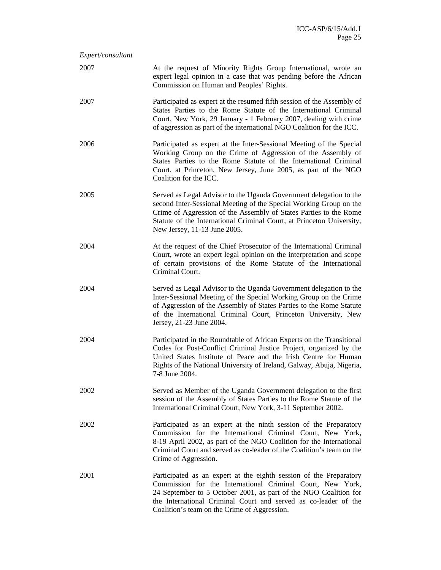| Expert/consultant |                                                                                                                                                                                                                                                                                                                         |
|-------------------|-------------------------------------------------------------------------------------------------------------------------------------------------------------------------------------------------------------------------------------------------------------------------------------------------------------------------|
| 2007              | At the request of Minority Rights Group International, wrote an<br>expert legal opinion in a case that was pending before the African<br>Commission on Human and Peoples' Rights.                                                                                                                                       |
| 2007              | Participated as expert at the resumed fifth session of the Assembly of<br>States Parties to the Rome Statute of the International Criminal<br>Court, New York, 29 January - 1 February 2007, dealing with crime<br>of aggression as part of the international NGO Coalition for the ICC.                                |
| 2006              | Participated as expert at the Inter-Sessional Meeting of the Special<br>Working Group on the Crime of Aggression of the Assembly of<br>States Parties to the Rome Statute of the International Criminal<br>Court, at Princeton, New Jersey, June 2005, as part of the NGO<br>Coalition for the ICC.                     |
| 2005              | Served as Legal Advisor to the Uganda Government delegation to the<br>second Inter-Sessional Meeting of the Special Working Group on the<br>Crime of Aggression of the Assembly of States Parties to the Rome<br>Statute of the International Criminal Court, at Princeton University,<br>New Jersey, 11-13 June 2005.  |
| 2004              | At the request of the Chief Prosecutor of the International Criminal<br>Court, wrote an expert legal opinion on the interpretation and scope<br>of certain provisions of the Rome Statute of the International<br>Criminal Court.                                                                                       |
| 2004              | Served as Legal Advisor to the Uganda Government delegation to the<br>Inter-Sessional Meeting of the Special Working Group on the Crime<br>of Aggression of the Assembly of States Parties to the Rome Statute<br>of the International Criminal Court, Princeton University, New<br>Jersey, 21-23 June 2004.            |
| 2004              | Participated in the Roundtable of African Experts on the Transitional<br>Codes for Post-Conflict Criminal Justice Project, organized by the<br>United States Institute of Peace and the Irish Centre for Human<br>Rights of the National University of Ireland, Galway, Abuja, Nigeria,<br>7-8 June 2004.               |
| 2002              | Served as Member of the Uganda Government delegation to the first<br>session of the Assembly of States Parties to the Rome Statute of the<br>International Criminal Court, New York, 3-11 September 2002.                                                                                                               |
| 2002              | Participated as an expert at the ninth session of the Preparatory<br>Commission for the International Criminal Court, New York,<br>8-19 April 2002, as part of the NGO Coalition for the International<br>Criminal Court and served as co-leader of the Coalition's team on the<br>Crime of Aggression.                 |
| 2001              | Participated as an expert at the eighth session of the Preparatory<br>Commission for the International Criminal Court, New York,<br>24 September to 5 October 2001, as part of the NGO Coalition for<br>the International Criminal Court and served as co-leader of the<br>Coalition's team on the Crime of Aggression. |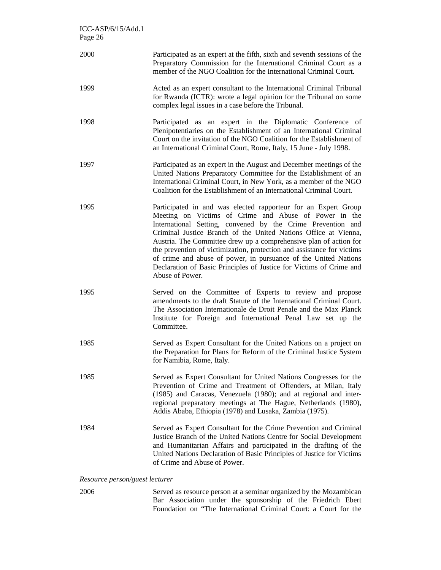| $ICC-ASP/6/15/Add.1$<br>Page 26 |                                                                                                                                                                                                                                                                                                                                                                                                                                                                                                                                                                       |
|---------------------------------|-----------------------------------------------------------------------------------------------------------------------------------------------------------------------------------------------------------------------------------------------------------------------------------------------------------------------------------------------------------------------------------------------------------------------------------------------------------------------------------------------------------------------------------------------------------------------|
| 2000                            | Participated as an expert at the fifth, sixth and seventh sessions of the<br>Preparatory Commission for the International Criminal Court as a<br>member of the NGO Coalition for the International Criminal Court.                                                                                                                                                                                                                                                                                                                                                    |
| 1999                            | Acted as an expert consultant to the International Criminal Tribunal<br>for Rwanda (ICTR): wrote a legal opinion for the Tribunal on some<br>complex legal issues in a case before the Tribunal.                                                                                                                                                                                                                                                                                                                                                                      |
| 1998                            | Participated as an expert in the Diplomatic Conference of<br>Plenipotentiaries on the Establishment of an International Criminal<br>Court on the invitation of the NGO Coalition for the Establishment of<br>an International Criminal Court, Rome, Italy, 15 June - July 1998.                                                                                                                                                                                                                                                                                       |
| 1997                            | Participated as an expert in the August and December meetings of the<br>United Nations Preparatory Committee for the Establishment of an<br>International Criminal Court, in New York, as a member of the NGO<br>Coalition for the Establishment of an International Criminal Court.                                                                                                                                                                                                                                                                                  |
| 1995                            | Participated in and was elected rapporteur for an Expert Group<br>Meeting on Victims of Crime and Abuse of Power in the<br>International Setting, convened by the Crime Prevention and<br>Criminal Justice Branch of the United Nations Office at Vienna,<br>Austria. The Committee drew up a comprehensive plan of action for<br>the prevention of victimization, protection and assistance for victims<br>of crime and abuse of power, in pursuance of the United Nations<br>Declaration of Basic Principles of Justice for Victims of Crime and<br>Abuse of Power. |
| 1995                            | Served on the Committee of Experts to review and propose<br>amendments to the draft Statute of the International Criminal Court.<br>The Association Internationale de Droit Penale and the Max Planck<br>Institute for Foreign and International Penal Law set up the<br>Committee.                                                                                                                                                                                                                                                                                   |
| 1985                            | Served as Expert Consultant for the United Nations on a project on<br>the Preparation for Plans for Reform of the Criminal Justice System<br>for Namibia, Rome, Italy.                                                                                                                                                                                                                                                                                                                                                                                                |
| 1985                            | Served as Expert Consultant for United Nations Congresses for the<br>Prevention of Crime and Treatment of Offenders, at Milan, Italy<br>(1985) and Caracas, Venezuela (1980); and at regional and inter-<br>regional preparatory meetings at The Hague, Netherlands (1980),<br>Addis Ababa, Ethiopia (1978) and Lusaka, Zambia (1975).                                                                                                                                                                                                                                |
| 1984                            | Served as Expert Consultant for the Crime Prevention and Criminal<br>Justice Branch of the United Nations Centre for Social Development<br>and Humanitarian Affairs and participated in the drafting of the<br>United Nations Declaration of Basic Principles of Justice for Victims<br>of Crime and Abuse of Power.                                                                                                                                                                                                                                                  |
| Resource person/quest lecturer  |                                                                                                                                                                                                                                                                                                                                                                                                                                                                                                                                                                       |

*Resource person/guest lecturer* 

2006 Served as resource person at a seminar organized by the Mozambican Bar Association under the sponsorship of the Friedrich Ebert Foundation on "The International Criminal Court: a Court for the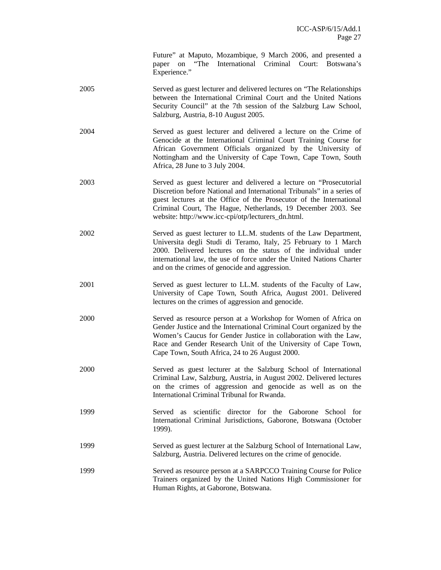Future" at Maputo, Mozambique, 9 March 2006, and presented a paper on "The International Criminal Court: Botswana's Experience."

- 2005 Served as guest lecturer and delivered lectures on "The Relationships between the International Criminal Court and the United Nations Security Council" at the 7th session of the Salzburg Law School, Salzburg, Austria, 8-10 August 2005.
- 2004 Served as guest lecturer and delivered a lecture on the Crime of Genocide at the International Criminal Court Training Course for African Government Officials organized by the University of Nottingham and the University of Cape Town, Cape Town, South Africa, 28 June to 3 July 2004.
- 2003 Served as guest lecturer and delivered a lecture on "Prosecutorial Discretion before National and International Tribunals" in a series of guest lectures at the Office of the Prosecutor of the International Criminal Court, The Hague, Netherlands, 19 December 2003. See website: http://www.icc-cpi/otp/lecturers\_dn.html.
- 2002 Served as guest lecturer to LL.M. students of the Law Department, Universita degli Studi di Teramo, Italy, 25 February to 1 March 2000. Delivered lectures on the status of the individual under international law, the use of force under the United Nations Charter and on the crimes of genocide and aggression.
- 2001 Served as guest lecturer to LL.M. students of the Faculty of Law, University of Cape Town, South Africa, August 2001. Delivered lectures on the crimes of aggression and genocide.
- 2000 Served as resource person at a Workshop for Women of Africa on Gender Justice and the International Criminal Court organized by the Women's Caucus for Gender Justice in collaboration with the Law, Race and Gender Research Unit of the University of Cape Town, Cape Town, South Africa, 24 to 26 August 2000.
- 2000 Served as guest lecturer at the Salzburg School of International Criminal Law, Salzburg, Austria, in August 2002. Delivered lectures on the crimes of aggression and genocide as well as on the International Criminal Tribunal for Rwanda.
- 1999 Served as scientific director for the Gaborone School for International Criminal Jurisdictions, Gaborone, Botswana (October 1999).
- 1999 Served as guest lecturer at the Salzburg School of International Law, Salzburg, Austria. Delivered lectures on the crime of genocide.
- 1999 Served as resource person at a SARPCCO Training Course for Police Trainers organized by the United Nations High Commissioner for Human Rights, at Gaborone, Botswana.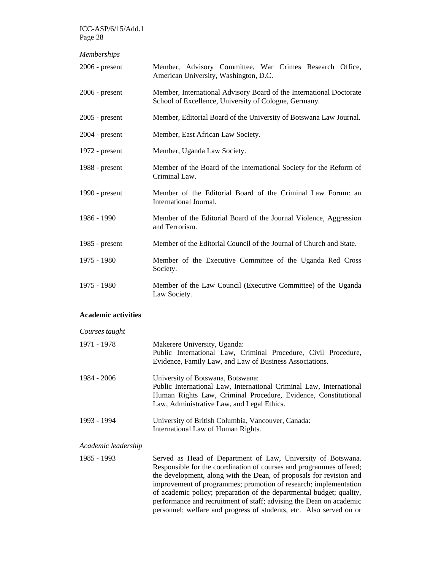| <b>Memberships</b> |                                                                                                                              |
|--------------------|------------------------------------------------------------------------------------------------------------------------------|
| $2006$ - present   | Member, Advisory Committee, War Crimes Research Office,<br>American University, Washington, D.C.                             |
| $2006$ - present   | Member, International Advisory Board of the International Doctorate<br>School of Excellence, University of Cologne, Germany. |
| $2005$ - present   | Member, Editorial Board of the University of Botswana Law Journal.                                                           |
| $2004$ - present   | Member, East African Law Society.                                                                                            |
| $1972$ - present   | Member, Uganda Law Society.                                                                                                  |
| 1988 - $present$   | Member of the Board of the International Society for the Reform of<br>Criminal Law.                                          |
| 1990 - present     | Member of the Editorial Board of the Criminal Law Forum: an<br>International Journal.                                        |
| 1986 - 1990        | Member of the Editorial Board of the Journal Violence, Aggression<br>and Terrorism.                                          |
| 1985 - present     | Member of the Editorial Council of the Journal of Church and State.                                                          |
| 1975 - 1980        | Member of the Executive Committee of the Uganda Red Cross<br>Society.                                                        |
| 1975 - 1980        | Member of the Law Council (Executive Committee) of the Uganda<br>Law Society.                                                |

#### **Academic activities**

## *Courses taught*  1971 - 1978 Makerere University, Uganda: Public International Law, Criminal Procedure, Civil Procedure, Evidence, Family Law, and Law of Business Associations. 1984 - 2006 University of Botswana, Botswana: Public International Law, International Criminal Law, International Human Rights Law, Criminal Procedure, Evidence, Constitutional Law, Administrative Law, and Legal Ethics. 1993 - 1994 University of British Columbia, Vancouver, Canada: International Law of Human Rights.

*Academic leadership* 

1985 - 1993 Served as Head of Department of Law, University of Botswana. Responsible for the coordination of courses and programmes offered; the development, along with the Dean, of proposals for revision and improvement of programmes; promotion of research; implementation of academic policy; preparation of the departmental budget; quality, performance and recruitment of staff; advising the Dean on academic personnel; welfare and progress of students, etc. Also served on or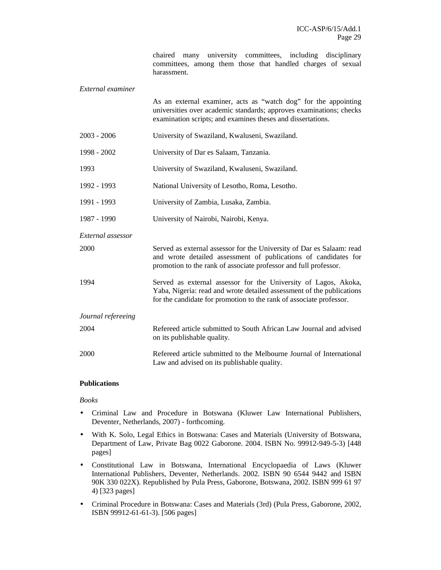chaired many university committees, including disciplinary committees, among them those that handled charges of sexual harassment.

| External examiner  |                                                                                                                                                                                                                 |
|--------------------|-----------------------------------------------------------------------------------------------------------------------------------------------------------------------------------------------------------------|
|                    | As an external examiner, acts as "watch dog" for the appointing<br>universities over academic standards; approves examinations; checks<br>examination scripts; and examines theses and dissertations.           |
| $2003 - 2006$      | University of Swaziland, Kwaluseni, Swaziland.                                                                                                                                                                  |
| 1998 - 2002        | University of Dar es Salaam, Tanzania.                                                                                                                                                                          |
| 1993               | University of Swaziland, Kwaluseni, Swaziland.                                                                                                                                                                  |
| 1992 - 1993        | National University of Lesotho, Roma, Lesotho.                                                                                                                                                                  |
| 1991 - 1993        | University of Zambia, Lusaka, Zambia.                                                                                                                                                                           |
| 1987 - 1990        | University of Nairobi, Nairobi, Kenya.                                                                                                                                                                          |
| External assessor  |                                                                                                                                                                                                                 |
| 2000               | Served as external assessor for the University of Dar es Salaam: read<br>and wrote detailed assessment of publications of candidates for<br>promotion to the rank of associate professor and full professor.    |
| 1994               | Served as external assessor for the University of Lagos, Akoka,<br>Yaba, Nigeria: read and wrote detailed assessment of the publications<br>for the candidate for promotion to the rank of associate professor. |
| Journal refereeing |                                                                                                                                                                                                                 |
| 2004               | Refereed article submitted to South African Law Journal and advised<br>on its publishable quality.                                                                                                              |
| 2000               | Refereed article submitted to the Melbourne Journal of International<br>Law and advised on its publishable quality.                                                                                             |

### **Publications**

*Books* 

- Criminal Law and Procedure in Botswana (Kluwer Law International Publishers, Deventer, Netherlands, 2007) - forthcoming.
- With K. Solo, Legal Ethics in Botswana: Cases and Materials (University of Botswana, Department of Law, Private Bag 0022 Gaborone. 2004. ISBN No. 99912-949-5-3) [448 pages]
- Constitutional Law in Botswana, International Encyclopaedia of Laws (Kluwer International Publishers, Deventer, Netherlands. 2002. ISBN 90 6544 9442 and ISBN 90K 330 022X). Republished by Pula Press, Gaborone, Botswana, 2002. ISBN 999 61 97 4) [323 pages]
- Criminal Procedure in Botswana: Cases and Materials (3rd) (Pula Press, Gaborone, 2002, ISBN 99912-61-61-3). [506 pages]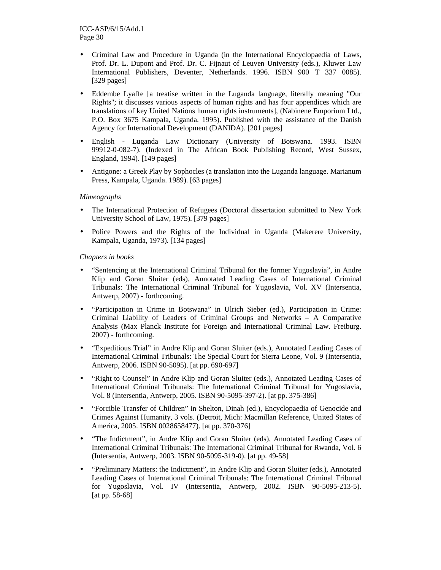- Criminal Law and Procedure in Uganda (in the International Encyclopaedia of Laws, Prof. Dr. L. Dupont and Prof. Dr. C. Fijnaut of Leuven University (eds.), Kluwer Law International Publishers, Deventer, Netherlands. 1996. ISBN 900 T 337 0085). [329 pages]
- Eddembe Lyaffe [a treatise written in the Luganda language, literally meaning "Our Rights"; it discusses various aspects of human rights and has four appendices which are translations of key United Nations human rights instruments], (Nabinene Emporium Ltd., P.O. Box 3675 Kampala, Uganda. 1995). Published with the assistance of the Danish Agency for International Development (DANIDA). [201 pages]
- English Luganda Law Dictionary (University of Botswana. 1993. ISBN 99912-0-082-7). (Indexed in The African Book Publishing Record, West Sussex, England, 1994). [149 pages]
- Antigone: a Greek Play by Sophocles (a translation into the Luganda language. Marianum Press, Kampala, Uganda. 1989). [63 pages]

#### *Mimeographs*

- The International Protection of Refugees (Doctoral dissertation submitted to New York University School of Law, 1975). [379 pages]
- Police Powers and the Rights of the Individual in Uganda (Makerere University, Kampala, Uganda, 1973). [134 pages]

#### *Chapters in books*

- "Sentencing at the International Criminal Tribunal for the former Yugoslavia", in Andre Klip and Goran Sluiter (eds), Annotated Leading Cases of International Criminal Tribunals: The International Criminal Tribunal for Yugoslavia, Vol. XV (Intersentia, Antwerp, 2007) - forthcoming.
- "Participation in Crime in Botswana" in Ulrich Sieber (ed.), Participation in Crime: Criminal Liability of Leaders of Criminal Groups and Networks – A Comparative Analysis (Max Planck Institute for Foreign and International Criminal Law. Freiburg. 2007) - forthcoming.
- "Expeditious Trial" in Andre Klip and Goran Sluiter (eds.), Annotated Leading Cases of International Criminal Tribunals: The Special Court for Sierra Leone, Vol. 9 (Intersentia, Antwerp, 2006. ISBN 90-5095). [at pp. 690-697]
- "Right to Counsel" in Andre Klip and Goran Sluiter (eds.), Annotated Leading Cases of International Criminal Tribunals: The International Criminal Tribunal for Yugoslavia, Vol. 8 (Intersentia, Antwerp, 2005. ISBN 90-5095-397-2). [at pp. 375-386]
- "Forcible Transfer of Children" in Shelton, Dinah (ed.), Encyclopaedia of Genocide and Crimes Against Humanity, 3 vols. (Detroit, Mich: Macmillan Reference, United States of America, 2005. ISBN 0028658477). [at pp. 370-376]
- "The Indictment", in Andre Klip and Goran Sluiter (eds), Annotated Leading Cases of International Criminal Tribunals: The International Criminal Tribunal for Rwanda, Vol. 6 (Intersentia, Antwerp, 2003. ISBN 90-5095-319-0). [at pp. 49-58]
- "Preliminary Matters: the Indictment", in Andre Klip and Goran Sluiter (eds.), Annotated Leading Cases of International Criminal Tribunals: The International Criminal Tribunal for Yugoslavia, Vol. IV (Intersentia, Antwerp, 2002. ISBN 90-5095-213-5). [at pp. 58-68]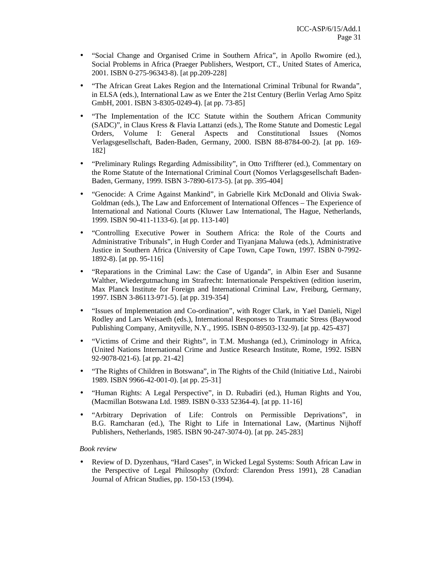- "Social Change and Organised Crime in Southern Africa", in Apollo Rwomire (ed.), Social Problems in Africa (Praeger Publishers, Westport, CT., United States of America, 2001. ISBN 0-275-96343-8). [at pp.209-228]
- "The African Great Lakes Region and the International Criminal Tribunal for Rwanda", in ELSA (eds.), International Law as we Enter the 21st Century (Berlin Verlag Arno Spitz GmbH, 2001. ISBN 3-8305-0249-4). [at pp. 73-85]
- "The Implementation of the ICC Statute within the Southern African Community (SADC)", in Claus Kress & Flavia Lattanzi (eds.), The Rome Statute and Domestic Legal Orders, Volume I: General Aspects and Constitutional Issues (Nomos Verlagsgesellschaft, Baden-Baden, Germany, 2000. ISBN 88-8784-00-2). [at pp. 169- 182]
- "Preliminary Rulings Regarding Admissibility", in Otto Triffterer (ed.), Commentary on the Rome Statute of the International Criminal Court (Nomos Verlagsgesellschaft Baden-Baden, Germany, 1999. ISBN 3-7890-6173-5). [at pp. 395-404]
- "Genocide: A Crime Against Mankind", in Gabrielle Kirk McDonald and Olivia Swak-Goldman (eds.), The Law and Enforcement of International Offences – The Experience of International and National Courts (Kluwer Law International, The Hague, Netherlands, 1999. ISBN 90-411-1133-6). [at pp. 113-140]
- "Controlling Executive Power in Southern Africa: the Role of the Courts and Administrative Tribunals", in Hugh Corder and Tiyanjana Maluwa (eds.), Administrative Justice in Southern Africa (University of Cape Town, Cape Town, 1997. ISBN 0-7992- 1892-8). [at pp. 95-116]
- "Reparations in the Criminal Law: the Case of Uganda", in Albin Eser and Susanne Walther, Wiedergutmachung im Strafrecht: Internationale Perspektiven (edition iuserim, Max Planck Institute for Foreign and International Criminal Law, Freiburg, Germany, 1997. ISBN 3-86113-971-5). [at pp. 319-354]
- "Issues of Implementation and Co-ordination", with Roger Clark, in Yael Danieli, Nigel Rodley and Lars Weisaeth (eds.), International Responses to Traumatic Stress (Baywood Publishing Company, Amityville, N.Y., 1995. ISBN 0-89503-132-9). [at pp. 425-437]
- "Victims of Crime and their Rights", in T.M. Mushanga (ed.), Criminology in Africa, (United Nations International Crime and Justice Research Institute, Rome, 1992. ISBN 92-9078-021-6). [at pp. 21-42]
- "The Rights of Children in Botswana", in The Rights of the Child (Initiative Ltd., Nairobi 1989. ISBN 9966-42-001-0). [at pp. 25-31]
- "Human Rights: A Legal Perspective", in D. Rubadiri (ed.), Human Rights and You, (Macmillan Botswana Ltd. 1989. ISBN 0-333 52364-4). [at pp. 11-16]
- "Arbitrary Deprivation of Life: Controls on Permissible Deprivations", in B.G. Ramcharan (ed.), The Right to Life in International Law, (Martinus Nijhoff Publishers, Netherlands, 1985. ISBN 90-247-3074-0). [at pp. 245-283]

#### *Book review*

• Review of D. Dyzenhaus, "Hard Cases", in Wicked Legal Systems: South African Law in the Perspective of Legal Philosophy (Oxford: Clarendon Press 1991), 28 Canadian Journal of African Studies, pp. 150-153 (1994).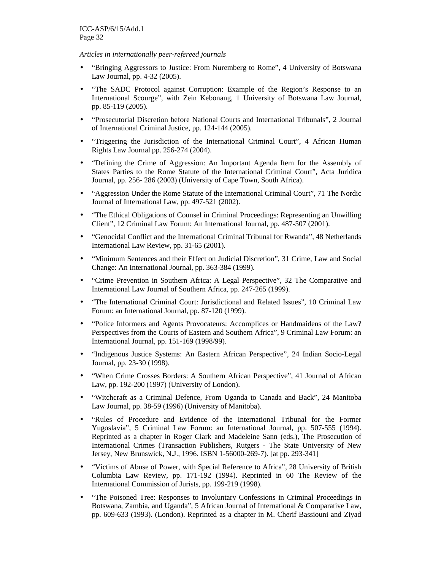*Articles in internationally peer-refereed journals* 

- "Bringing Aggressors to Justice: From Nuremberg to Rome", 4 University of Botswana Law Journal, pp. 4-32 (2005).
- "The SADC Protocol against Corruption: Example of the Region's Response to an International Scourge", with Zein Kebonang, 1 University of Botswana Law Journal, pp. 85-119 (2005).
- "Prosecutorial Discretion before National Courts and International Tribunals", 2 Journal of International Criminal Justice, pp. 124-144 (2005).
- "Triggering the Jurisdiction of the International Criminal Court", 4 African Human Rights Law Journal pp. 256-274 (2004).
- "Defining the Crime of Aggression: An Important Agenda Item for the Assembly of States Parties to the Rome Statute of the International Criminal Court", Acta Juridica Journal, pp. 256- 286 (2003) (University of Cape Town, South Africa).
- "Aggression Under the Rome Statute of the International Criminal Court", 71 The Nordic Journal of International Law, pp. 497-521 (2002).
- "The Ethical Obligations of Counsel in Criminal Proceedings: Representing an Unwilling Client", 12 Criminal Law Forum: An International Journal, pp. 487-507 (2001).
- "Genocidal Conflict and the International Criminal Tribunal for Rwanda", 48 Netherlands International Law Review, pp. 31-65 (2001).
- "Minimum Sentences and their Effect on Judicial Discretion", 31 Crime, Law and Social Change: An International Journal, pp. 363-384 (1999).
- "Crime Prevention in Southern Africa: A Legal Perspective", 32 The Comparative and International Law Journal of Southern Africa, pp. 247-265 (1999).
- "The International Criminal Court: Jurisdictional and Related Issues", 10 Criminal Law Forum: an International Journal, pp. 87-120 (1999).
- "Police Informers and Agents Provocateurs: Accomplices or Handmaidens of the Law? Perspectives from the Courts of Eastern and Southern Africa", 9 Criminal Law Forum: an International Journal, pp. 151-169 (1998/99).
- "Indigenous Justice Systems: An Eastern African Perspective", 24 Indian Socio-Legal Journal, pp. 23-30 (1998).
- "When Crime Crosses Borders: A Southern African Perspective", 41 Journal of African Law, pp. 192-200 (1997) (University of London).
- "Witchcraft as a Criminal Defence, From Uganda to Canada and Back", 24 Manitoba Law Journal, pp. 38-59 (1996) (University of Manitoba).
- "Rules of Procedure and Evidence of the International Tribunal for the Former Yugoslavia", 5 Criminal Law Forum: an International Journal, pp. 507-555 (1994). Reprinted as a chapter in Roger Clark and Madeleine Sann (eds.), The Prosecution of International Crimes (Transaction Publishers, Rutgers - The State University of New Jersey, New Brunswick, N.J., 1996. ISBN 1-56000-269-7). [at pp. 293-341]
- "Victims of Abuse of Power, with Special Reference to Africa", 28 University of British Columbia Law Review, pp. 171-192 (1994). Reprinted in 60 The Review of the International Commission of Jurists, pp. 199-219 (1998).
- "The Poisoned Tree: Responses to Involuntary Confessions in Criminal Proceedings in Botswana, Zambia, and Uganda", 5 African Journal of International & Comparative Law, pp. 609-633 (1993). (London). Reprinted as a chapter in M. Cherif Bassiouni and Ziyad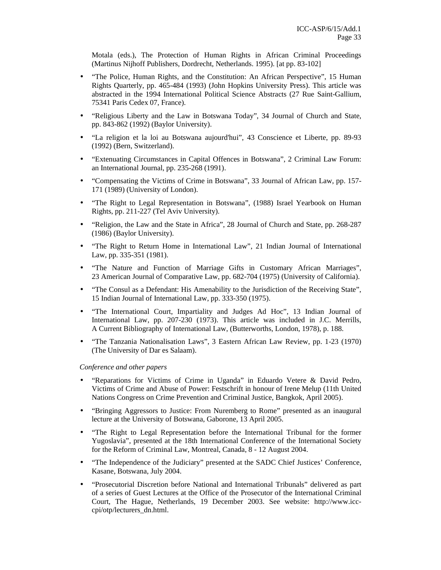Motala (eds.), The Protection of Human Rights in African Criminal Proceedings (Martinus Nijhoff Publishers, Dordrecht, Netherlands. 1995). [at pp. 83-102]

- "The Police, Human Rights, and the Constitution: An African Perspective", 15 Human Rights Quarterly, pp. 465-484 (1993) (John Hopkins University Press). This article was abstracted in the 1994 International Political Science Abstracts (27 Rue Saint-Gallium, 75341 Paris Cedex 07, France).
- "Religious Liberty and the Law in Botswana Today", 34 Journal of Church and State, pp. 843-862 (1992) (Baylor University).
- "La religion et la loi au Botswana aujourd'hui", 43 Conscience et Liberte, pp. 89-93 (1992) (Bern, Switzerland).
- "Extenuating Circumstances in Capital Offences in Botswana", 2 Criminal Law Forum: an International Journal, pp. 235-268 (1991).
- "Compensating the Victims of Crime in Botswana", 33 Journal of African Law, pp. 157- 171 (1989) (University of London).
- "The Right to Legal Representation in Botswana", (1988) Israel Yearbook on Human Rights, pp. 211-227 (Tel Aviv University).
- "Religion, the Law and the State in Africa", 28 Journal of Church and State, pp. 268-287 (1986) (Baylor University).
- "The Right to Return Home in International Law", 21 Indian Journal of International Law, pp. 335-351 (1981).
- "The Nature and Function of Marriage Gifts in Customary African Marriages", 23 American Journal of Comparative Law, pp. 682-704 (1975) (University of California).
- "The Consul as a Defendant: His Amenability to the Jurisdiction of the Receiving State", 15 Indian Journal of International Law, pp. 333-350 (1975).
- "The International Court, Impartiality and Judges Ad Hoc", 13 Indian Journal of International Law, pp. 207-230 (1973). This article was included in J.C. Merrills, A Current Bibliography of International Law, (Butterworths, London, 1978), p. 188.
- "The Tanzania Nationalisation Laws", 3 Eastern African Law Review, pp. 1-23 (1970) (The University of Dar es Salaam).

#### *Conference and other papers*

- "Reparations for Victims of Crime in Uganda" in Eduardo Vetere & David Pedro, Victims of Crime and Abuse of Power: Festschrift in honour of Irene Melup (11th United Nations Congress on Crime Prevention and Criminal Justice, Bangkok, April 2005).
- "Bringing Aggressors to Justice: From Nuremberg to Rome" presented as an inaugural lecture at the University of Botswana, Gaborone, 13 April 2005.
- "The Right to Legal Representation before the International Tribunal for the former Yugoslavia", presented at the 18th International Conference of the International Society for the Reform of Criminal Law, Montreal, Canada, 8 - 12 August 2004.
- "The Independence of the Judiciary" presented at the SADC Chief Justices' Conference, Kasane, Botswana, July 2004.
- "Prosecutorial Discretion before National and International Tribunals" delivered as part of a series of Guest Lectures at the Office of the Prosecutor of the International Criminal Court, The Hague, Netherlands, 19 December 2003. See website: http://www.icccpi/otp/lecturers\_dn.html.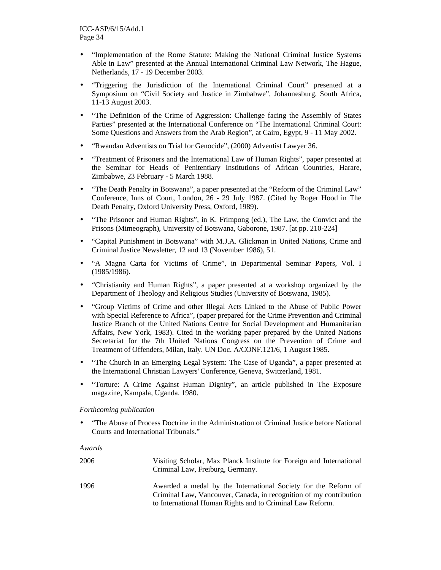- "Implementation of the Rome Statute: Making the National Criminal Justice Systems Able in Law" presented at the Annual International Criminal Law Network, The Hague, Netherlands, 17 - 19 December 2003.
- "Triggering the Jurisdiction of the International Criminal Court" presented at a Symposium on "Civil Society and Justice in Zimbabwe", Johannesburg, South Africa, 11-13 August 2003.
- "The Definition of the Crime of Aggression: Challenge facing the Assembly of States Parties" presented at the International Conference on "The International Criminal Court: Some Questions and Answers from the Arab Region", at Cairo, Egypt, 9 - 11 May 2002.
- "Rwandan Adventists on Trial for Genocide", (2000) Adventist Lawyer 36.
- "Treatment of Prisoners and the International Law of Human Rights", paper presented at the Seminar for Heads of Penitentiary Institutions of African Countries, Harare, Zimbabwe, 23 February - 5 March 1988.
- "The Death Penalty in Botswana", a paper presented at the "Reform of the Criminal Law" Conference, Inns of Court, London, 26 - 29 July 1987. (Cited by Roger Hood in The Death Penalty, Oxford University Press, Oxford, 1989).
- "The Prisoner and Human Rights", in K. Frimpong (ed.), The Law, the Convict and the Prisons (Mimeograph), University of Botswana, Gaborone, 1987. [at pp. 210-224]
- "Capital Punishment in Botswana" with M.J.A. Glickman in United Nations, Crime and Criminal Justice Newsletter, 12 and 13 (November 1986), 51.
- "A Magna Carta for Victims of Crime", in Departmental Seminar Papers, Vol. I (1985/1986).
- "Christianity and Human Rights", a paper presented at a workshop organized by the Department of Theology and Religious Studies (University of Botswana, 1985).
- "Group Victims of Crime and other Illegal Acts Linked to the Abuse of Public Power with Special Reference to Africa", (paper prepared for the Crime Prevention and Criminal Justice Branch of the United Nations Centre for Social Development and Humanitarian Affairs, New York, 1983). Cited in the working paper prepared by the United Nations Secretariat for the 7th United Nations Congress on the Prevention of Crime and Treatment of Offenders, Milan, Italy. UN Doc. A/CONF.121/6, 1 August 1985.
- "The Church in an Emerging Legal System: The Case of Uganda", a paper presented at the International Christian Lawyers' Conference, Geneva, Switzerland, 1981.
- "Torture: A Crime Against Human Dignity", an article published in The Exposure magazine, Kampala, Uganda. 1980.

#### *Forthcoming publication*

• "The Abuse of Process Doctrine in the Administration of Criminal Justice before National Courts and International Tribunals."

#### *Awards*

| 2006 | Visiting Scholar, Max Planck Institute for Foreign and International<br>Criminal Law, Freiburg, Germany.                                                                                          |
|------|---------------------------------------------------------------------------------------------------------------------------------------------------------------------------------------------------|
| 1996 | Awarded a medal by the International Society for the Reform of<br>Criminal Law, Vancouver, Canada, in recognition of my contribution<br>to International Human Rights and to Criminal Law Reform. |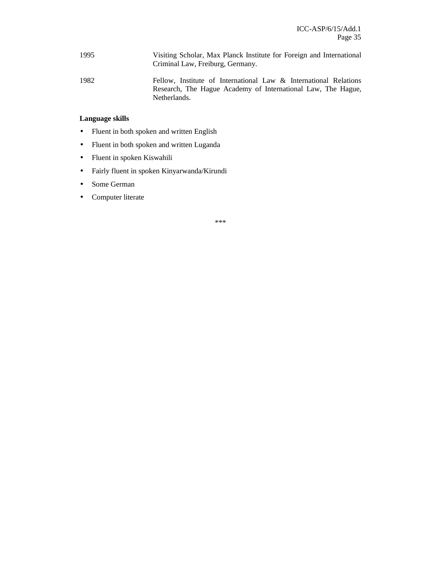- 1995 Visiting Scholar, Max Planck Institute for Foreign and International Criminal Law, Freiburg, Germany.
- 1982 Fellow, Institute of International Law & International Relations Research, The Hague Academy of International Law, The Hague, Netherlands.

#### **Language skills**

- Fluent in both spoken and written English
- Fluent in both spoken and written Luganda
- Fluent in spoken Kiswahili
- Fairly fluent in spoken Kinyarwanda/Kirundi
- Some German
- Computer literate

\*\*\*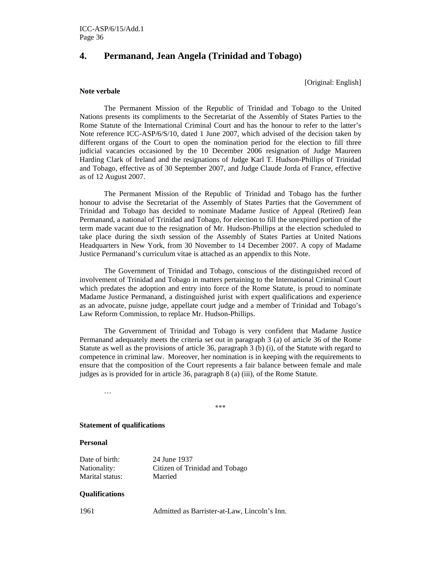### **4. Permanand, Jean Angela (Trinidad and Tobago)**

[Original: English]

#### **Note verbale**

The Permanent Mission of the Republic of Trinidad and Tobago to the United Nations presents its compliments to the Secretariat of the Assembly of States Parties to the Rome Statute of the International Criminal Court and has the honour to refer to the latter's Note reference ICC-ASP/6/S/10, dated 1 June 2007, which advised of the decision taken by different organs of the Court to open the nomination period for the election to fill three judicial vacancies occasioned by the 10 December 2006 resignation of Judge Maureen Harding Clark of Ireland and the resignations of Judge Karl T. Hudson-Phillips of Trinidad and Tobago, effective as of 30 September 2007, and Judge Claude Jorda of France, effective as of 12 August 2007.

 The Permanent Mission of the Republic of Trinidad and Tobago has the further honour to advise the Secretariat of the Assembly of States Parties that the Government of Trinidad and Tobago has decided to nominate Madame Justice of Appeal (Retired) Jean Permanand, a national of Trinidad and Tobago, for election to fill the unexpired portion of the term made vacant due to the resignation of Mr. Hudson-Phillips at the election scheduled to take place during the sixth session of the Assembly of States Parties at United Nations Headquarters in New York, from 30 November to 14 December 2007. A copy of Madame Justice Permanand's curriculum vitae is attached as an appendix to this Note.

 The Government of Trinidad and Tobago, conscious of the distinguished record of involvement of Trinidad and Tobago in matters pertaining to the International Criminal Court which predates the adoption and entry into force of the Rome Statute, is proud to nominate Madame Justice Permanand, a distinguished jurist with expert qualifications and experience as an advocate, puisne judge, appellate court judge and a member of Trinidad and Tobago's Law Reform Commission, to replace Mr. Hudson-Phillips.

 The Government of Trinidad and Tobago is very confident that Madame Justice Permanand adequately meets the criteria set out in paragraph 3 (a) of article 36 of the Rome Statute as well as the provisions of article 36, paragraph 3 (b) (i), of the Statute with regard to competence in criminal law. Moreover, her nomination is in keeping with the requirements to ensure that the composition of the Court represents a fair balance between female and male judges as is provided for in article 36, paragraph 8 (a) (iii), of the Rome Statute.

…

\*\*\*

#### **Statement of qualifications**

#### **Personal**

Date of birth: 24 June 1937 Marital status: Married

Nationality: Citizen of Trinidad and Tobago

#### **Qualifications**

1961 Admitted as Barrister-at-Law, Lincoln's Inn.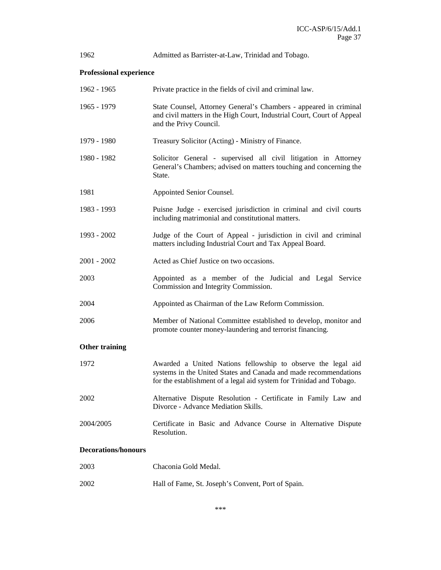| 1962                           | Admitted as Barrister-at-Law, Trinidad and Tobago.                                                                                                                                                       |  |
|--------------------------------|----------------------------------------------------------------------------------------------------------------------------------------------------------------------------------------------------------|--|
| <b>Professional experience</b> |                                                                                                                                                                                                          |  |
| 1962 - 1965                    | Private practice in the fields of civil and criminal law.                                                                                                                                                |  |
| 1965 - 1979                    | State Counsel, Attorney General's Chambers - appeared in criminal<br>and civil matters in the High Court, Industrial Court, Court of Appeal<br>and the Privy Council.                                    |  |
| 1979 - 1980                    | Treasury Solicitor (Acting) - Ministry of Finance.                                                                                                                                                       |  |
| 1980 - 1982                    | Solicitor General - supervised all civil litigation in Attorney<br>General's Chambers; advised on matters touching and concerning the<br>State.                                                          |  |
| 1981                           | Appointed Senior Counsel.                                                                                                                                                                                |  |
| 1983 - 1993                    | Puisne Judge - exercised jurisdiction in criminal and civil courts<br>including matrimonial and constitutional matters.                                                                                  |  |
| 1993 - 2002                    | Judge of the Court of Appeal - jurisdiction in civil and criminal<br>matters including Industrial Court and Tax Appeal Board.                                                                            |  |
| $2001 - 2002$                  | Acted as Chief Justice on two occasions.                                                                                                                                                                 |  |
| 2003                           | Appointed as a member of the Judicial and Legal Service<br>Commission and Integrity Commission.                                                                                                          |  |
| 2004                           | Appointed as Chairman of the Law Reform Commission.                                                                                                                                                      |  |
| 2006                           | Member of National Committee established to develop, monitor and<br>promote counter money-laundering and terrorist financing.                                                                            |  |
| <b>Other training</b>          |                                                                                                                                                                                                          |  |
| 1972                           | Awarded a United Nations fellowship to observe the legal aid<br>systems in the United States and Canada and made recommendations<br>for the establishment of a legal aid system for Trinidad and Tobago. |  |
| 2002                           | Alternative Dispute Resolution - Certificate in Family Law and<br>Divorce - Advance Mediation Skills.                                                                                                    |  |
| 2004/2005                      | Certificate in Basic and Advance Course in Alternative Dispute<br>Resolution.                                                                                                                            |  |
| <b>Decorations/honours</b>     |                                                                                                                                                                                                          |  |
| 2003                           | Chaconia Gold Medal.                                                                                                                                                                                     |  |

2002 Hall of Fame, St. Joseph's Convent, Port of Spain.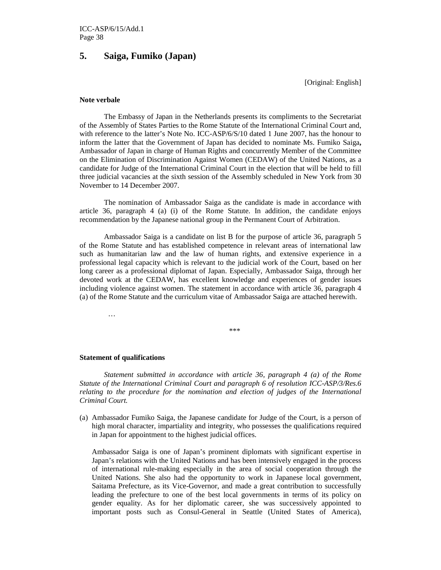### **5. Saiga, Fumiko (Japan)**

[Original: English]

#### **Note verbale**

The Embassy of Japan in the Netherlands presents its compliments to the Secretariat of the Assembly of States Parties to the Rome Statute of the International Criminal Court and, with reference to the latter's Note No. ICC-ASP/6/S/10 dated 1 June 2007, has the honour to inform the latter that the Government of Japan has decided to nominate Ms. Fumiko Saiga**,** Ambassador of Japan in charge of Human Rights and concurrently Member of the Committee on the Elimination of Discrimination Against Women (CEDAW) of the United Nations, as a candidate for Judge of the International Criminal Court in the election that will be held to fill three judicial vacancies at the sixth session of the Assembly scheduled in New York from 30 November to 14 December 2007.

The nomination of Ambassador Saiga as the candidate is made in accordance with article 36, paragraph 4 (a) (i) of the Rome Statute. In addition, the candidate enjoys recommendation by the Japanese national group in the Permanent Court of Arbitration.

Ambassador Saiga is a candidate on list B for the purpose of article 36, paragraph 5 of the Rome Statute and has established competence in relevant areas of international law such as humanitarian law and the law of human rights, and extensive experience in a professional legal capacity which is relevant to the judicial work of the Court, based on her long career as a professional diplomat of Japan. Especially, Ambassador Saiga, through her devoted work at the CEDAW, has excellent knowledge and experiences of gender issues including violence against women. The statement in accordance with article 36, paragraph 4 (a) of the Rome Statute and the curriculum vitae of Ambassador Saiga are attached herewith.

…

\*\*\*

#### **Statement of qualifications**

*Statement submitted in accordance with article 36, paragraph 4 (a) of the Rome Statute of the International Criminal Court and paragraph 6 of resolution ICC-ASP/3/Res.6 relating to the procedure for the nomination and election of judges of the International Criminal Court.* 

(a) Ambassador Fumiko Saiga, the Japanese candidate for Judge of the Court, is a person of high moral character, impartiality and integrity, who possesses the qualifications required in Japan for appointment to the highest judicial offices.

Ambassador Saiga is one of Japan's prominent diplomats with significant expertise in Japan's relations with the United Nations and has been intensively engaged in the process of international rule-making especially in the area of social cooperation through the United Nations. She also had the opportunity to work in Japanese local government, Saitama Prefecture, as its Vice-Governor, and made a great contribution to successfully leading the prefecture to one of the best local governments in terms of its policy on gender equality. As for her diplomatic career, she was successively appointed to important posts such as Consul-General in Seattle (United States of America),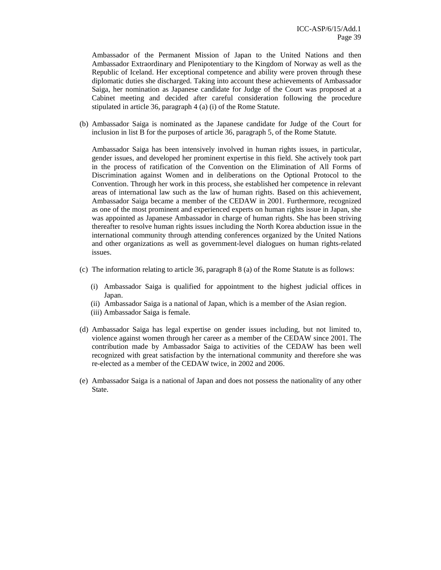Ambassador of the Permanent Mission of Japan to the United Nations and then Ambassador Extraordinary and Plenipotentiary to the Kingdom of Norway as well as the Republic of Iceland. Her exceptional competence and ability were proven through these diplomatic duties she discharged. Taking into account these achievements of Ambassador Saiga, her nomination as Japanese candidate for Judge of the Court was proposed at a Cabinet meeting and decided after careful consideration following the procedure stipulated in article 36, paragraph 4 (a) (i) of the Rome Statute.

(b) Ambassador Saiga is nominated as the Japanese candidate for Judge of the Court for inclusion in list B for the purposes of article 36, paragraph 5, of the Rome Statute.

Ambassador Saiga has been intensively involved in human rights issues, in particular, gender issues, and developed her prominent expertise in this field. She actively took part in the process of ratification of the Convention on the Elimination of All Forms of Discrimination against Women and in deliberations on the Optional Protocol to the Convention. Through her work in this process, she established her competence in relevant areas of international law such as the law of human rights. Based on this achievement, Ambassador Saiga became a member of the CEDAW in 2001. Furthermore, recognized as one of the most prominent and experienced experts on human rights issue in Japan, she was appointed as Japanese Ambassador in charge of human rights. She has been striving thereafter to resolve human rights issues including the North Korea abduction issue in the international community through attending conferences organized by the United Nations and other organizations as well as government-level dialogues on human rights-related issues.

- (c) The information relating to article 36, paragraph 8 (a) of the Rome Statute is as follows:
	- (i) Ambassador Saiga is qualified for appointment to the highest judicial offices in Japan.
	- (ii) Ambassador Saiga is a national of Japan, which is a member of the Asian region.
	- (iii) Ambassador Saiga is female.
- (d) Ambassador Saiga has legal expertise on gender issues including, but not limited to, violence against women through her career as a member of the CEDAW since 2001. The contribution made by Ambassador Saiga to activities of the CEDAW has been well recognized with great satisfaction by the international community and therefore she was re-elected as a member of the CEDAW twice, in 2002 and 2006.
- (e) Ambassador Saiga is a national of Japan and does not possess the nationality of any other State.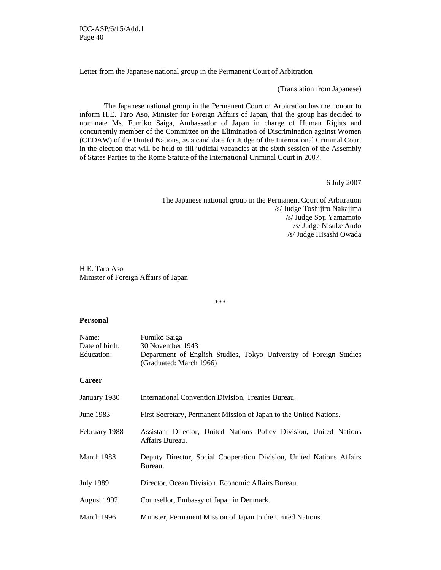#### Letter from the Japanese national group in the Permanent Court of Arbitration

(Translation from Japanese)

The Japanese national group in the Permanent Court of Arbitration has the honour to inform H.E. Taro Aso, Minister for Foreign Affairs of Japan, that the group has decided to nominate Ms. Fumiko Saiga, Ambassador of Japan in charge of Human Rights and concurrently member of the Committee on the Elimination of Discrimination against Women (CEDAW) of the United Nations, as a candidate for Judge of the International Criminal Court in the election that will be held to fill judicial vacancies at the sixth session of the Assembly of States Parties to the Rome Statute of the International Criminal Court in 2007.

6 July 2007

The Japanese national group in the Permanent Court of Arbitration /s/ Judge Toshijiro Nakajima /s/ Judge Soji Yamamoto /s/ Judge Nisuke Ando /s/ Judge Hisashi Owada

H.E. Taro Aso Minister of Foreign Affairs of Japan

\*\*\*

#### **Personal**

| Name:<br>Date of birth:<br>Education: | Fumiko Saiga<br>30 November 1943<br>Department of English Studies, Tokyo University of Foreign Studies<br>(Graduated: March 1966) |
|---------------------------------------|-----------------------------------------------------------------------------------------------------------------------------------|
| <b>Career</b>                         |                                                                                                                                   |
| January 1980                          | International Convention Division, Treaties Bureau.                                                                               |
| June 1983                             | First Secretary, Permanent Mission of Japan to the United Nations.                                                                |
| February 1988                         | Assistant Director, United Nations Policy Division, United Nations<br>Affairs Bureau.                                             |
| March 1988                            | Deputy Director, Social Cooperation Division, United Nations Affairs<br>Bureau.                                                   |
| <b>July 1989</b>                      | Director, Ocean Division, Economic Affairs Bureau.                                                                                |
| August 1992                           | Counsellor, Embassy of Japan in Denmark.                                                                                          |
| March 1996                            | Minister, Permanent Mission of Japan to the United Nations.                                                                       |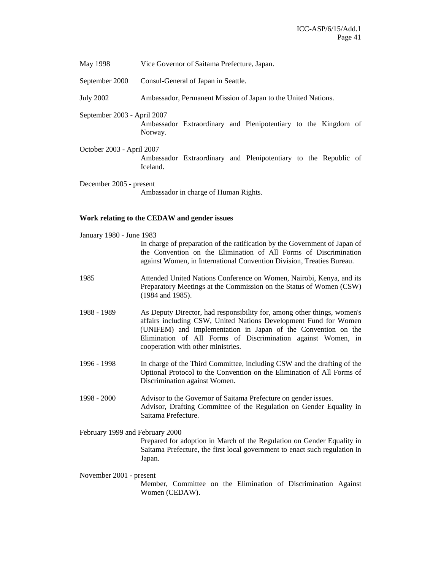- May 1998 Vice Governor of Saitama Prefecture, Japan.
- September 2000 Consul-General of Japan in Seattle.
- July 2002 Ambassador, Permanent Mission of Japan to the United Nations.
- September 2003 April 2007

Ambassador Extraordinary and Plenipotentiary to the Kingdom of Norway.

October 2003 - April 2007 Ambassador Extraordinary and Plenipotentiary to the Republic of Iceland.

December 2005 - present Ambassador in charge of Human Rights.

#### **Work relating to the CEDAW and gender issues**

| January 1980 - June 1983        |                                                                                                                                                                                                                                                                                                                    |  |
|---------------------------------|--------------------------------------------------------------------------------------------------------------------------------------------------------------------------------------------------------------------------------------------------------------------------------------------------------------------|--|
|                                 | In charge of preparation of the ratification by the Government of Japan of<br>the Convention on the Elimination of All Forms of Discrimination<br>against Women, in International Convention Division, Treaties Bureau.                                                                                            |  |
| 1985                            | Attended United Nations Conference on Women, Nairobi, Kenya, and its<br>Preparatory Meetings at the Commission on the Status of Women (CSW)<br>(1984 and 1985).                                                                                                                                                    |  |
| 1988 - 1989                     | As Deputy Director, had responsibility for, among other things, women's<br>affairs including CSW, United Nations Development Fund for Women<br>(UNIFEM) and implementation in Japan of the Convention on the<br>Elimination of All Forms of Discrimination against Women, in<br>cooperation with other ministries. |  |
| 1996 - 1998                     | In charge of the Third Committee, including CSW and the drafting of the<br>Optional Protocol to the Convention on the Elimination of All Forms of<br>Discrimination against Women.                                                                                                                                 |  |
| 1998 - 2000                     | Advisor to the Governor of Saitama Prefecture on gender issues.<br>Advisor, Drafting Committee of the Regulation on Gender Equality in<br>Saitama Prefecture.                                                                                                                                                      |  |
| February 1999 and February 2000 |                                                                                                                                                                                                                                                                                                                    |  |
|                                 | Prepared for adoption in March of the Regulation on Gender Equality in<br>Saitama Prefecture, the first local government to enact such regulation in<br>Japan.                                                                                                                                                     |  |
| November 2001 - present         |                                                                                                                                                                                                                                                                                                                    |  |
|                                 | Member, Committee on the Elimination of Discrimination Against<br>Women (CEDAW).                                                                                                                                                                                                                                   |  |